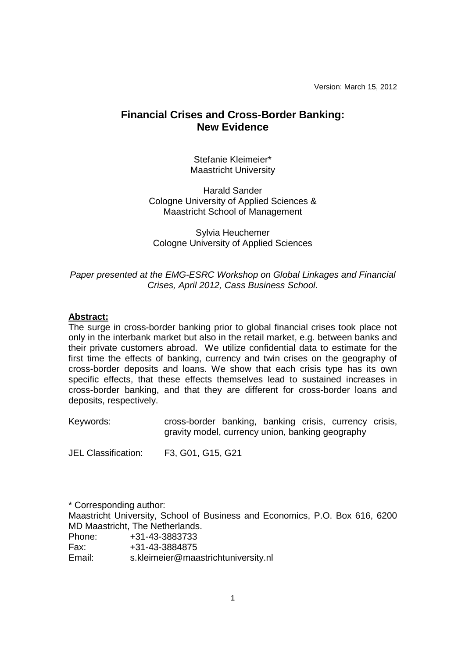Version: March 15, 2012

# **Financial Crises and Cross-Border Banking: New Evidence**

Stefanie Kleimeier\* Maastricht University

Harald Sander Cologne University of Applied Sciences & Maastricht School of Management

Sylvia Heuchemer Cologne University of Applied Sciences

## Paper presented at the EMG-ESRC Workshop on Global Linkages and Financial Crises, April 2012, Cass Business School.

## **Abstract:**

The surge in cross-border banking prior to global financial crises took place not only in the interbank market but also in the retail market, e.g. between banks and their private customers abroad. We utilize confidential data to estimate for the first time the effects of banking, currency and twin crises on the geography of cross-border deposits and loans. We show that each crisis type has its own specific effects, that these effects themselves lead to sustained increases in cross-border banking, and that they are different for cross-border loans and deposits, respectively.

Keywords: cross-border banking, banking crisis, currency crisis, gravity model, currency union, banking geography

JEL Classification: F3, G01, G15, G21

\* Corresponding author: Maastricht University, School of Business and Economics, P.O. Box 616, 6200 MD Maastricht, The Netherlands. Phone: +31-43-3883733 Fax: +31-43-3884875

Email: s.kleimeier@maastrichtuniversity.nl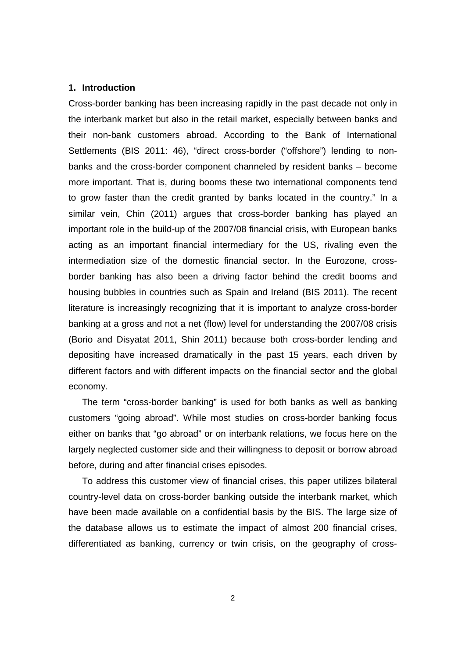### **1. Introduction**

Cross-border banking has been increasing rapidly in the past decade not only in the interbank market but also in the retail market, especially between banks and their non-bank customers abroad. According to the Bank of International Settlements (BIS 2011: 46), "direct cross-border ("offshore") lending to nonbanks and the cross-border component channeled by resident banks – become more important. That is, during booms these two international components tend to grow faster than the credit granted by banks located in the country." In a similar vein, Chin (2011) argues that cross-border banking has played an important role in the build-up of the 2007/08 financial crisis, with European banks acting as an important financial intermediary for the US, rivaling even the intermediation size of the domestic financial sector. In the Eurozone, crossborder banking has also been a driving factor behind the credit booms and housing bubbles in countries such as Spain and Ireland (BIS 2011). The recent literature is increasingly recognizing that it is important to analyze cross-border banking at a gross and not a net (flow) level for understanding the 2007/08 crisis (Borio and Disyatat 2011, Shin 2011) because both cross-border lending and depositing have increased dramatically in the past 15 years, each driven by different factors and with different impacts on the financial sector and the global economy.

 The term "cross-border banking" is used for both banks as well as banking customers "going abroad". While most studies on cross-border banking focus either on banks that "go abroad" or on interbank relations, we focus here on the largely neglected customer side and their willingness to deposit or borrow abroad before, during and after financial crises episodes.

 To address this customer view of financial crises, this paper utilizes bilateral country-level data on cross-border banking outside the interbank market, which have been made available on a confidential basis by the BIS. The large size of the database allows us to estimate the impact of almost 200 financial crises, differentiated as banking, currency or twin crisis, on the geography of cross-

2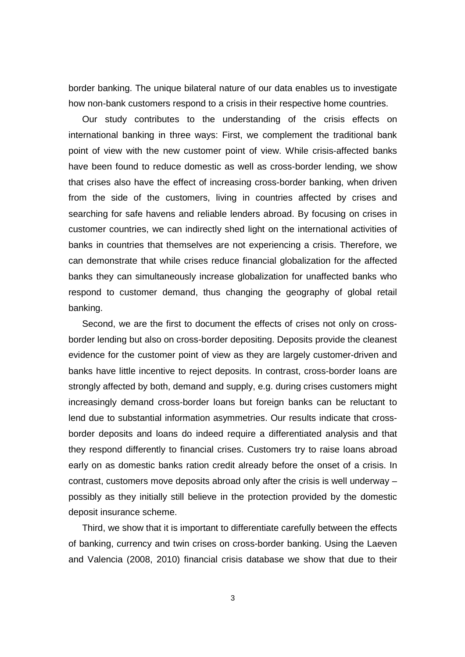border banking. The unique bilateral nature of our data enables us to investigate how non-bank customers respond to a crisis in their respective home countries.

 Our study contributes to the understanding of the crisis effects on international banking in three ways: First, we complement the traditional bank point of view with the new customer point of view. While crisis-affected banks have been found to reduce domestic as well as cross-border lending, we show that crises also have the effect of increasing cross-border banking, when driven from the side of the customers, living in countries affected by crises and searching for safe havens and reliable lenders abroad. By focusing on crises in customer countries, we can indirectly shed light on the international activities of banks in countries that themselves are not experiencing a crisis. Therefore, we can demonstrate that while crises reduce financial globalization for the affected banks they can simultaneously increase globalization for unaffected banks who respond to customer demand, thus changing the geography of global retail banking.

 Second, we are the first to document the effects of crises not only on crossborder lending but also on cross-border depositing. Deposits provide the cleanest evidence for the customer point of view as they are largely customer-driven and banks have little incentive to reject deposits. In contrast, cross-border loans are strongly affected by both, demand and supply, e.g. during crises customers might increasingly demand cross-border loans but foreign banks can be reluctant to lend due to substantial information asymmetries. Our results indicate that crossborder deposits and loans do indeed require a differentiated analysis and that they respond differently to financial crises. Customers try to raise loans abroad early on as domestic banks ration credit already before the onset of a crisis. In contrast, customers move deposits abroad only after the crisis is well underway – possibly as they initially still believe in the protection provided by the domestic deposit insurance scheme.

 Third, we show that it is important to differentiate carefully between the effects of banking, currency and twin crises on cross-border banking. Using the Laeven and Valencia (2008, 2010) financial crisis database we show that due to their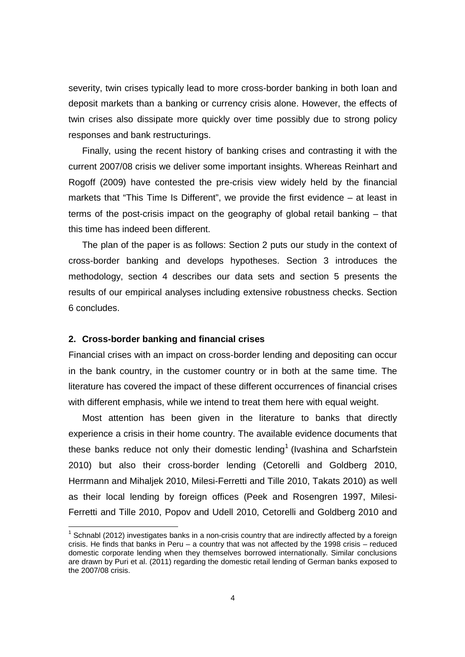severity, twin crises typically lead to more cross-border banking in both loan and deposit markets than a banking or currency crisis alone. However, the effects of twin crises also dissipate more quickly over time possibly due to strong policy responses and bank restructurings.

 Finally, using the recent history of banking crises and contrasting it with the current 2007/08 crisis we deliver some important insights. Whereas Reinhart and Rogoff (2009) have contested the pre-crisis view widely held by the financial markets that "This Time Is Different", we provide the first evidence – at least in terms of the post-crisis impact on the geography of global retail banking – that this time has indeed been different.

 The plan of the paper is as follows: Section 2 puts our study in the context of cross-border banking and develops hypotheses. Section 3 introduces the methodology, section 4 describes our data sets and section 5 presents the results of our empirical analyses including extensive robustness checks. Section 6 concludes.

### **2. Cross-border banking and financial crises**

-

Financial crises with an impact on cross-border lending and depositing can occur in the bank country, in the customer country or in both at the same time. The literature has covered the impact of these different occurrences of financial crises with different emphasis, while we intend to treat them here with equal weight.

 Most attention has been given in the literature to banks that directly experience a crisis in their home country. The available evidence documents that these banks reduce not only their domestic lending<sup>1</sup> (Ivashina and Scharfstein 2010) but also their cross-border lending (Cetorelli and Goldberg 2010, Herrmann and Mihaljek 2010, Milesi-Ferretti and Tille 2010, Takats 2010) as well as their local lending by foreign offices (Peek and Rosengren 1997, Milesi-Ferretti and Tille 2010, Popov and Udell 2010, Cetorelli and Goldberg 2010 and

 $1$  Schnabl (2012) investigates banks in a non-crisis country that are indirectly affected by a foreign crisis. He finds that banks in Peru – a country that was not affected by the 1998 crisis – reduced domestic corporate lending when they themselves borrowed internationally. Similar conclusions are drawn by Puri et al. (2011) regarding the domestic retail lending of German banks exposed to the 2007/08 crisis.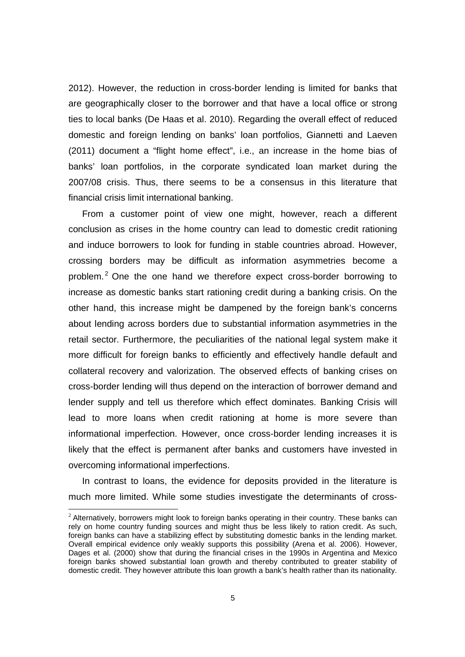2012). However, the reduction in cross-border lending is limited for banks that are geographically closer to the borrower and that have a local office or strong ties to local banks (De Haas et al. 2010). Regarding the overall effect of reduced domestic and foreign lending on banks' loan portfolios, Giannetti and Laeven (2011) document a "flight home effect", i.e., an increase in the home bias of banks' loan portfolios, in the corporate syndicated loan market during the 2007/08 crisis. Thus, there seems to be a consensus in this literature that financial crisis limit international banking.

From a customer point of view one might, however, reach a different conclusion as crises in the home country can lead to domestic credit rationing and induce borrowers to look for funding in stable countries abroad. However, crossing borders may be difficult as information asymmetries become a problem. $2$  One the one hand we therefore expect cross-border borrowing to increase as domestic banks start rationing credit during a banking crisis. On the other hand, this increase might be dampened by the foreign bank's concerns about lending across borders due to substantial information asymmetries in the retail sector. Furthermore, the peculiarities of the national legal system make it more difficult for foreign banks to efficiently and effectively handle default and collateral recovery and valorization. The observed effects of banking crises on cross-border lending will thus depend on the interaction of borrower demand and lender supply and tell us therefore which effect dominates. Banking Crisis will lead to more loans when credit rationing at home is more severe than informational imperfection. However, once cross-border lending increases it is likely that the effect is permanent after banks and customers have invested in overcoming informational imperfections.

In contrast to loans, the evidence for deposits provided in the literature is much more limited. While some studies investigate the determinants of cross-

-

 $<sup>2</sup>$  Alternatively, borrowers might look to foreign banks operating in their country. These banks can</sup> rely on home country funding sources and might thus be less likely to ration credit. As such, foreign banks can have a stabilizing effect by substituting domestic banks in the lending market. Overall empirical evidence only weakly supports this possibility (Arena et al. 2006). However, Dages et al. (2000) show that during the financial crises in the 1990s in Argentina and Mexico foreign banks showed substantial loan growth and thereby contributed to greater stability of domestic credit. They however attribute this loan growth a bank's health rather than its nationality.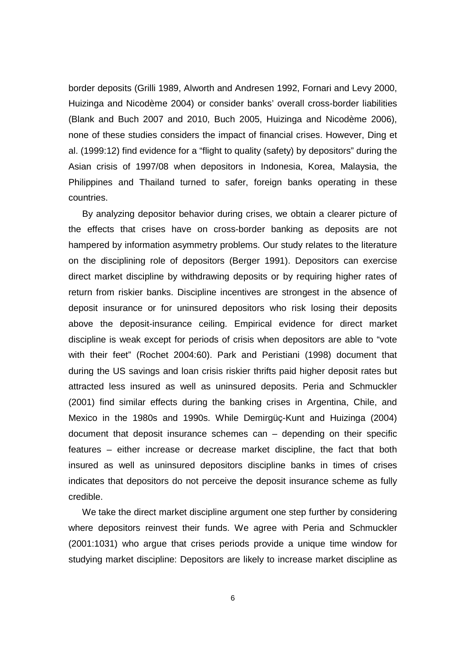border deposits (Grilli 1989, Alworth and Andresen 1992, Fornari and Levy 2000, Huizinga and Nicodème 2004) or consider banks' overall cross-border liabilities (Blank and Buch 2007 and 2010, Buch 2005, Huizinga and Nicodème 2006), none of these studies considers the impact of financial crises. However, Ding et al. (1999:12) find evidence for a "flight to quality (safety) by depositors" during the Asian crisis of 1997/08 when depositors in Indonesia, Korea, Malaysia, the Philippines and Thailand turned to safer, foreign banks operating in these countries.

By analyzing depositor behavior during crises, we obtain a clearer picture of the effects that crises have on cross-border banking as deposits are not hampered by information asymmetry problems. Our study relates to the literature on the disciplining role of depositors (Berger 1991). Depositors can exercise direct market discipline by withdrawing deposits or by requiring higher rates of return from riskier banks. Discipline incentives are strongest in the absence of deposit insurance or for uninsured depositors who risk losing their deposits above the deposit-insurance ceiling. Empirical evidence for direct market discipline is weak except for periods of crisis when depositors are able to "vote with their feet" (Rochet 2004:60). Park and Peristiani (1998) document that during the US savings and loan crisis riskier thrifts paid higher deposit rates but attracted less insured as well as uninsured deposits. Peria and Schmuckler (2001) find similar effects during the banking crises in Argentina, Chile, and Mexico in the 1980s and 1990s. While Demirgüç-Kunt and Huizinga (2004) document that deposit insurance schemes can – depending on their specific features – either increase or decrease market discipline, the fact that both insured as well as uninsured depositors discipline banks in times of crises indicates that depositors do not perceive the deposit insurance scheme as fully credible.

We take the direct market discipline argument one step further by considering where depositors reinvest their funds. We agree with Peria and Schmuckler (2001:1031) who argue that crises periods provide a unique time window for studying market discipline: Depositors are likely to increase market discipline as

6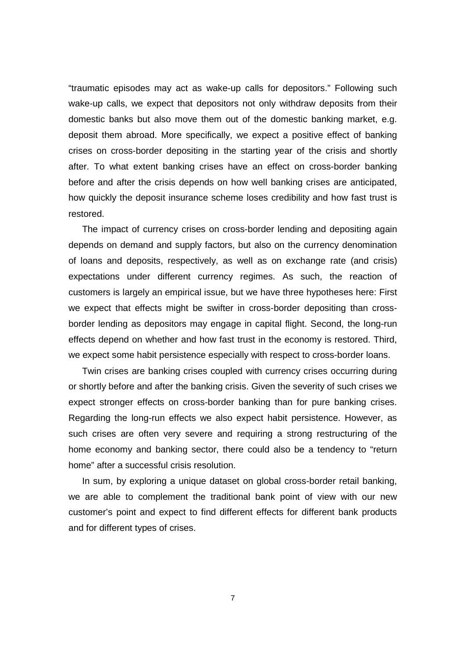"traumatic episodes may act as wake-up calls for depositors." Following such wake-up calls, we expect that depositors not only withdraw deposits from their domestic banks but also move them out of the domestic banking market, e.g. deposit them abroad. More specifically, we expect a positive effect of banking crises on cross-border depositing in the starting year of the crisis and shortly after. To what extent banking crises have an effect on cross-border banking before and after the crisis depends on how well banking crises are anticipated, how quickly the deposit insurance scheme loses credibility and how fast trust is restored.

The impact of currency crises on cross-border lending and depositing again depends on demand and supply factors, but also on the currency denomination of loans and deposits, respectively, as well as on exchange rate (and crisis) expectations under different currency regimes. As such, the reaction of customers is largely an empirical issue, but we have three hypotheses here: First we expect that effects might be swifter in cross-border depositing than crossborder lending as depositors may engage in capital flight. Second, the long-run effects depend on whether and how fast trust in the economy is restored. Third, we expect some habit persistence especially with respect to cross-border loans.

Twin crises are banking crises coupled with currency crises occurring during or shortly before and after the banking crisis. Given the severity of such crises we expect stronger effects on cross-border banking than for pure banking crises. Regarding the long-run effects we also expect habit persistence. However, as such crises are often very severe and requiring a strong restructuring of the home economy and banking sector, there could also be a tendency to "return home" after a successful crisis resolution.

 In sum, by exploring a unique dataset on global cross-border retail banking, we are able to complement the traditional bank point of view with our new customer's point and expect to find different effects for different bank products and for different types of crises.

7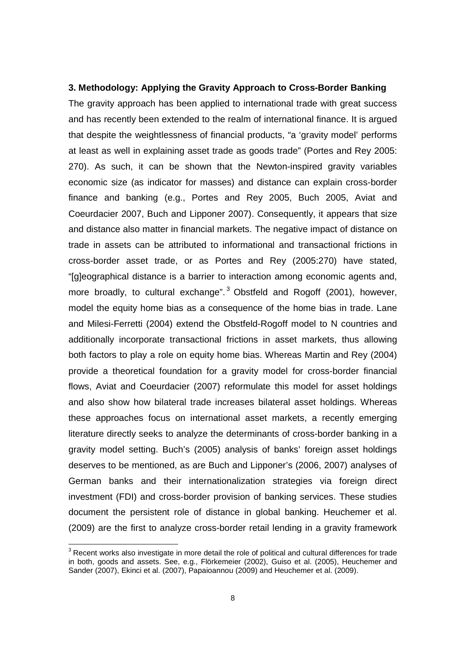### **3. Methodology: Applying the Gravity Approach to Cross-Border Banking**

The gravity approach has been applied to international trade with great success and has recently been extended to the realm of international finance. It is argued that despite the weightlessness of financial products, "a 'gravity model' performs at least as well in explaining asset trade as goods trade" (Portes and Rey 2005: 270). As such, it can be shown that the Newton-inspired gravity variables economic size (as indicator for masses) and distance can explain cross-border finance and banking (e.g., Portes and Rey 2005, Buch 2005, Aviat and Coeurdacier 2007, Buch and Lipponer 2007). Consequently, it appears that size and distance also matter in financial markets. The negative impact of distance on trade in assets can be attributed to informational and transactional frictions in cross-border asset trade, or as Portes and Rey (2005:270) have stated, "[g]eographical distance is a barrier to interaction among economic agents and, more broadly, to cultural exchange".<sup>3</sup> Obstfeld and Rogoff (2001), however, model the equity home bias as a consequence of the home bias in trade. Lane and Milesi-Ferretti (2004) extend the Obstfeld-Rogoff model to N countries and additionally incorporate transactional frictions in asset markets, thus allowing both factors to play a role on equity home bias. Whereas Martin and Rey (2004) provide a theoretical foundation for a gravity model for cross-border financial flows, Aviat and Coeurdacier (2007) reformulate this model for asset holdings and also show how bilateral trade increases bilateral asset holdings. Whereas these approaches focus on international asset markets, a recently emerging literature directly seeks to analyze the determinants of cross-border banking in a gravity model setting. Buch's (2005) analysis of banks' foreign asset holdings deserves to be mentioned, as are Buch and Lipponer's (2006, 2007) analyses of German banks and their internationalization strategies via foreign direct investment (FDI) and cross-border provision of banking services. These studies document the persistent role of distance in global banking. Heuchemer et al. (2009) are the first to analyze cross-border retail lending in a gravity framework

-

 $3$  Recent works also investigate in more detail the role of political and cultural differences for trade in both, goods and assets. See, e.g., Flörkemeier (2002), Guiso et al. (2005), Heuchemer and Sander (2007), Ekinci et al. (2007), Papaioannou (2009) and Heuchemer et al. (2009).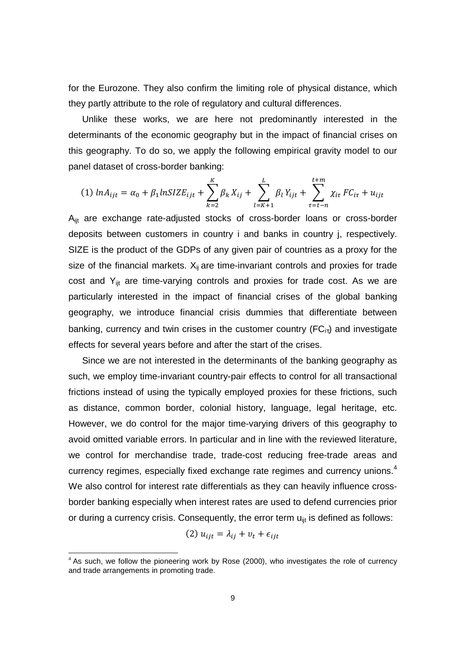for the Eurozone. They also confirm the limiting role of physical distance, which they partly attribute to the role of regulatory and cultural differences.

Unlike these works, we are here not predominantly interested in the determinants of the economic geography but in the impact of financial crises on this geography. To do so, we apply the following empirical gravity model to our panel dataset of cross-border banking:

(1) 
$$
ln A_{ijt} = \alpha_0 + \beta_1 ln S I Z E_{ijt} + \sum_{k=2}^{K} \beta_k X_{ij} + \sum_{l=K+1}^{L} \beta_l Y_{ijt} + \sum_{\tau=t-n}^{t+m} \chi_{i\tau} F C_{i\tau} + u_{ijt}
$$

A<sub>ijt</sub> are exchange rate-adjusted stocks of cross-border loans or cross-border deposits between customers in country i and banks in country j, respectively. SIZE is the product of the GDPs of any given pair of countries as a proxy for the size of the financial markets.  $X_{ij}$  are time-invariant controls and proxies for trade cost and  $Y_{\text{ijt}}$  are time-varying controls and proxies for trade cost. As we are particularly interested in the impact of financial crises of the global banking geography, we introduce financial crisis dummies that differentiate between banking, currency and twin crises in the customer country ( $FC_{i\tau}$ ) and investigate effects for several years before and after the start of the crises.

Since we are not interested in the determinants of the banking geography as such, we employ time-invariant country-pair effects to control for all transactional frictions instead of using the typically employed proxies for these frictions, such as distance, common border, colonial history, language, legal heritage, etc. However, we do control for the major time-varying drivers of this geography to avoid omitted variable errors. In particular and in line with the reviewed literature, we control for merchandise trade, trade-cost reducing free-trade areas and currency regimes, especially fixed exchange rate regimes and currency unions.<sup>4</sup> We also control for interest rate differentials as they can heavily influence crossborder banking especially when interest rates are used to defend currencies prior or during a currency crisis. Consequently, the error term  $u_{ijt}$  is defined as follows:

$$
(2) u_{ijt} = \lambda_{ij} + v_t + \epsilon_{ijt}
$$

<u>.</u>

 $4$  As such, we follow the pioneering work by Rose (2000), who investigates the role of currency and trade arrangements in promoting trade.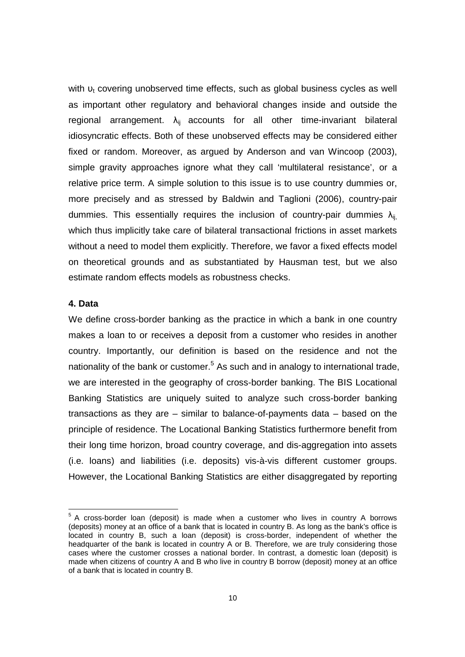with  $v_t$  covering unobserved time effects, such as global business cycles as well as important other regulatory and behavioral changes inside and outside the regional arrangement.  $\lambda_{ii}$  accounts for all other time-invariant bilateral idiosyncratic effects. Both of these unobserved effects may be considered either fixed or random. Moreover, as argued by Anderson and van Wincoop (2003), simple gravity approaches ignore what they call 'multilateral resistance', or a relative price term. A simple solution to this issue is to use country dummies or, more precisely and as stressed by Baldwin and Taglioni (2006), country-pair dummies. This essentially requires the inclusion of country-pair dummies  $\lambda_{ii}$ which thus implicitly take care of bilateral transactional frictions in asset markets without a need to model them explicitly. Therefore, we favor a fixed effects model on theoretical grounds and as substantiated by Hausman test, but we also estimate random effects models as robustness checks.

## **4. Data**

We define cross-border banking as the practice in which a bank in one country makes a loan to or receives a deposit from a customer who resides in another country. Importantly, our definition is based on the residence and not the nationality of the bank or customer.<sup>5</sup> As such and in analogy to international trade, we are interested in the geography of cross-border banking. The BIS Locational Banking Statistics are uniquely suited to analyze such cross-border banking transactions as they are – similar to balance-of-payments data – based on the principle of residence. The Locational Banking Statistics furthermore benefit from their long time horizon, broad country coverage, and dis-aggregation into assets (i.e. loans) and liabilities (i.e. deposits) vis-à-vis different customer groups. However, the Locational Banking Statistics are either disaggregated by reporting

 5 A cross-border loan (deposit) is made when a customer who lives in country A borrows (deposits) money at an office of a bank that is located in country B. As long as the bank's office is located in country B, such a loan (deposit) is cross-border, independent of whether the headquarter of the bank is located in country A or B. Therefore, we are truly considering those cases where the customer crosses a national border. In contrast, a domestic loan (deposit) is made when citizens of country A and B who live in country B borrow (deposit) money at an office of a bank that is located in country B.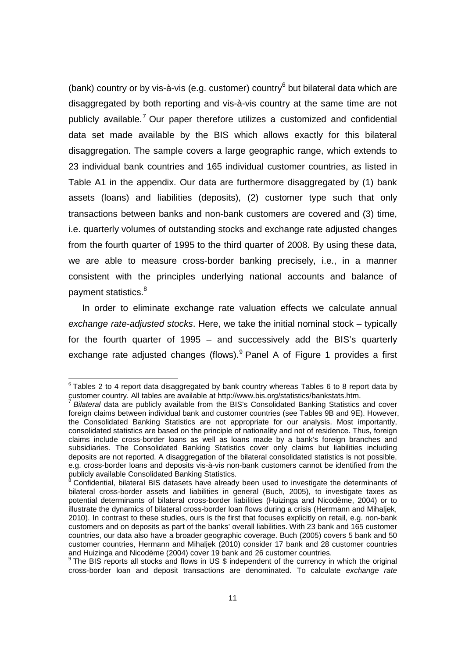(bank) country or by vis-à-vis (e.g. customer) country<sup>6</sup> but bilateral data which are disaggregated by both reporting and vis-à-vis country at the same time are not publicly available.<sup>7</sup> Our paper therefore utilizes a customized and confidential data set made available by the BIS which allows exactly for this bilateral disaggregation. The sample covers a large geographic range, which extends to 23 individual bank countries and 165 individual customer countries, as listed in Table A1 in the appendix. Our data are furthermore disaggregated by (1) bank assets (loans) and liabilities (deposits), (2) customer type such that only transactions between banks and non-bank customers are covered and (3) time, i.e. quarterly volumes of outstanding stocks and exchange rate adjusted changes from the fourth quarter of 1995 to the third quarter of 2008. By using these data, we are able to measure cross-border banking precisely, i.e., in a manner consistent with the principles underlying national accounts and balance of payment statistics.<sup>8</sup>

 In order to eliminate exchange rate valuation effects we calculate annual exchange rate-adjusted stocks. Here, we take the initial nominal stock – typically for the fourth quarter of 1995 – and successively add the BIS's quarterly exchange rate adjusted changes (flows).<sup>9</sup> Panel A of Figure 1 provides a first

-

 $6$  Tables 2 to 4 report data disaggregated by bank country whereas Tables 6 to 8 report data by customer country. All tables are available at http://www.bis.org/statistics/bankstats.htm.

<sup>7</sup> Bilateral data are publicly available from the BIS's Consolidated Banking Statistics and cover foreign claims between individual bank and customer countries (see Tables 9B and 9E). However, the Consolidated Banking Statistics are not appropriate for our analysis. Most importantly, consolidated statistics are based on the principle of nationality and not of residence. Thus, foreign claims include cross-border loans as well as loans made by a bank's foreign branches and subsidiaries. The Consolidated Banking Statistics cover only claims but liabilities including deposits are not reported. A disaggregation of the bilateral consolidated statistics is not possible, e.g. cross-border loans and deposits vis-à-vis non-bank customers cannot be identified from the publicly available Consolidated Banking Statistics. 8

Confidential, bilateral BIS datasets have already been used to investigate the determinants of bilateral cross-border assets and liabilities in general (Buch, 2005), to investigate taxes as potential determinants of bilateral cross-border liabilities (Huizinga and Nicodème, 2004) or to illustrate the dynamics of bilateral cross-border loan flows during a crisis (Herrmann and Mihaljek, 2010). In contrast to these studies, ours is the first that focuses explicitly on retail, e.g. non-bank customers and on deposits as part of the banks' overall liabilities. With 23 bank and 165 customer countries, our data also have a broader geographic coverage. Buch (2005) covers 5 bank and 50 customer countries, Hermann and Mihaljek (2010) consider 17 bank and 28 customer countries and Huizinga and Nicodème (2004) cover 19 bank and 26 customer countries.

 $9$  The BIS reports all stocks and flows in US \$ independent of the currency in which the original cross-border loan and deposit transactions are denominated. To calculate exchange rate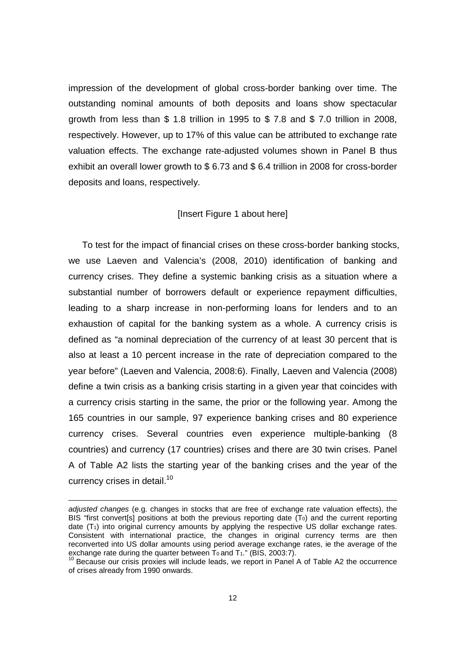impression of the development of global cross-border banking over time. The outstanding nominal amounts of both deposits and loans show spectacular growth from less than \$ 1.8 trillion in 1995 to \$ 7.8 and \$ 7.0 trillion in 2008, respectively. However, up to 17% of this value can be attributed to exchange rate valuation effects. The exchange rate-adjusted volumes shown in Panel B thus exhibit an overall lower growth to \$ 6.73 and \$ 6.4 trillion in 2008 for cross-border deposits and loans, respectively.

## [Insert Figure 1 about here]

To test for the impact of financial crises on these cross-border banking stocks, we use Laeven and Valencia's (2008, 2010) identification of banking and currency crises. They define a systemic banking crisis as a situation where a substantial number of borrowers default or experience repayment difficulties, leading to a sharp increase in non-performing loans for lenders and to an exhaustion of capital for the banking system as a whole. A currency crisis is defined as "a nominal depreciation of the currency of at least 30 percent that is also at least a 10 percent increase in the rate of depreciation compared to the year before" (Laeven and Valencia, 2008:6). Finally, Laeven and Valencia (2008) define a twin crisis as a banking crisis starting in a given year that coincides with a currency crisis starting in the same, the prior or the following year. Among the 165 countries in our sample, 97 experience banking crises and 80 experience currency crises. Several countries even experience multiple-banking (8 countries) and currency (17 countries) crises and there are 30 twin crises. Panel A of Table A2 lists the starting year of the banking crises and the year of the currency crises in detail.<sup>10</sup>

adjusted changes (e.g. changes in stocks that are free of exchange rate valuation effects), the BIS "first convert[s] positions at both the previous reporting date  $(T<sub>0</sub>)$  and the current reporting date  $(T_1)$  into original currency amounts by applying the respective US dollar exchange rates. Consistent with international practice, the changes in original currency terms are then reconverted into US dollar amounts using period average exchange rates, ie the average of the exchange rate during the quarter between  $To$  and  $T_1$ ." (BIS, 2003:7).

 $10$  Because our crisis proxies will include leads, we report in Panel A of Table A2 the occurrence of crises already from 1990 onwards.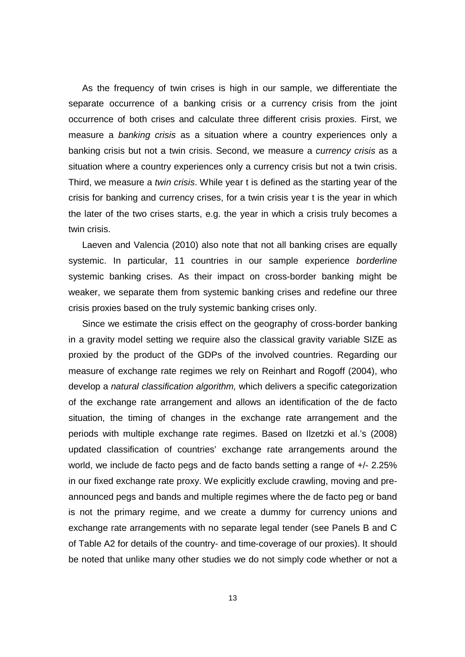As the frequency of twin crises is high in our sample, we differentiate the separate occurrence of a banking crisis or a currency crisis from the joint occurrence of both crises and calculate three different crisis proxies. First, we measure a banking crisis as a situation where a country experiences only a banking crisis but not a twin crisis. Second, we measure a *currency crisis* as a situation where a country experiences only a currency crisis but not a twin crisis. Third, we measure a twin crisis. While year t is defined as the starting year of the crisis for banking and currency crises, for a twin crisis year t is the year in which the later of the two crises starts, e.g. the year in which a crisis truly becomes a twin crisis.

Laeven and Valencia (2010) also note that not all banking crises are equally systemic. In particular, 11 countries in our sample experience borderline systemic banking crises. As their impact on cross-border banking might be weaker, we separate them from systemic banking crises and redefine our three crisis proxies based on the truly systemic banking crises only.

Since we estimate the crisis effect on the geography of cross-border banking in a gravity model setting we require also the classical gravity variable SIZE as proxied by the product of the GDPs of the involved countries. Regarding our measure of exchange rate regimes we rely on Reinhart and Rogoff (2004), who develop a natural classification algorithm, which delivers a specific categorization of the exchange rate arrangement and allows an identification of the de facto situation, the timing of changes in the exchange rate arrangement and the periods with multiple exchange rate regimes. Based on Ilzetzki et al.'s (2008) updated classification of countries' exchange rate arrangements around the world, we include de facto pegs and de facto bands setting a range of +/- 2.25% in our fixed exchange rate proxy. We explicitly exclude crawling, moving and preannounced pegs and bands and multiple regimes where the de facto peg or band is not the primary regime, and we create a dummy for currency unions and exchange rate arrangements with no separate legal tender (see Panels B and C of Table A2 for details of the country- and time-coverage of our proxies). It should be noted that unlike many other studies we do not simply code whether or not a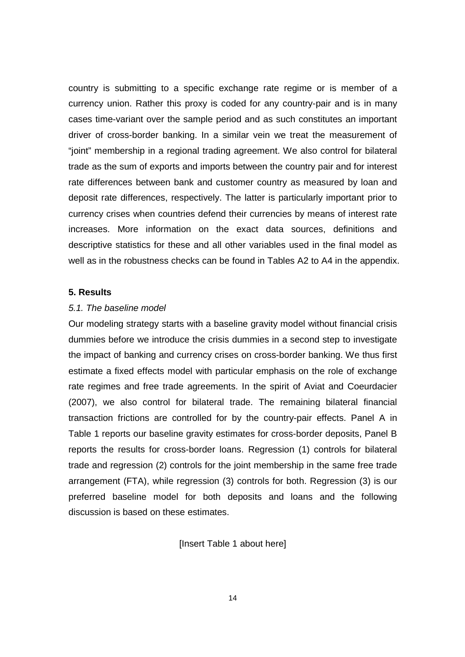country is submitting to a specific exchange rate regime or is member of a currency union. Rather this proxy is coded for any country-pair and is in many cases time-variant over the sample period and as such constitutes an important driver of cross-border banking. In a similar vein we treat the measurement of "joint" membership in a regional trading agreement. We also control for bilateral trade as the sum of exports and imports between the country pair and for interest rate differences between bank and customer country as measured by loan and deposit rate differences, respectively. The latter is particularly important prior to currency crises when countries defend their currencies by means of interest rate increases. More information on the exact data sources, definitions and descriptive statistics for these and all other variables used in the final model as well as in the robustness checks can be found in Tables A2 to A4 in the appendix.

### **5. Results**

#### 5.1. The baseline model

Our modeling strategy starts with a baseline gravity model without financial crisis dummies before we introduce the crisis dummies in a second step to investigate the impact of banking and currency crises on cross-border banking. We thus first estimate a fixed effects model with particular emphasis on the role of exchange rate regimes and free trade agreements. In the spirit of Aviat and Coeurdacier (2007), we also control for bilateral trade. The remaining bilateral financial transaction frictions are controlled for by the country-pair effects. Panel A in Table 1 reports our baseline gravity estimates for cross-border deposits, Panel B reports the results for cross-border loans. Regression (1) controls for bilateral trade and regression (2) controls for the joint membership in the same free trade arrangement (FTA), while regression (3) controls for both. Regression (3) is our preferred baseline model for both deposits and loans and the following discussion is based on these estimates.

[Insert Table 1 about here]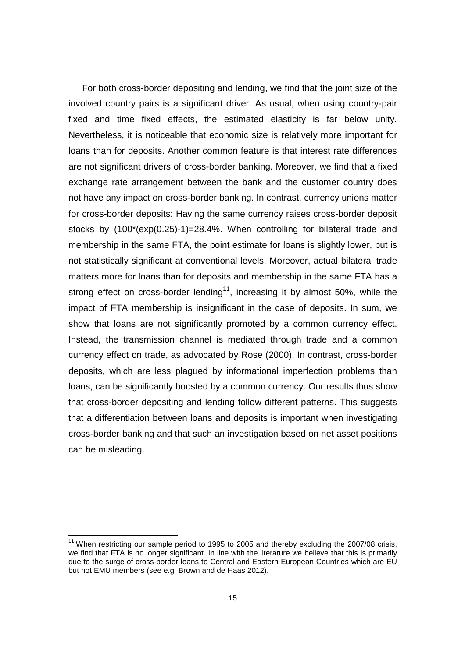For both cross-border depositing and lending, we find that the joint size of the involved country pairs is a significant driver. As usual, when using country-pair fixed and time fixed effects, the estimated elasticity is far below unity. Nevertheless, it is noticeable that economic size is relatively more important for loans than for deposits. Another common feature is that interest rate differences are not significant drivers of cross-border banking. Moreover, we find that a fixed exchange rate arrangement between the bank and the customer country does not have any impact on cross-border banking. In contrast, currency unions matter for cross-border deposits: Having the same currency raises cross-border deposit stocks by (100\*(exp(0.25)-1)=28.4%. When controlling for bilateral trade and membership in the same FTA, the point estimate for loans is slightly lower, but is not statistically significant at conventional levels. Moreover, actual bilateral trade matters more for loans than for deposits and membership in the same FTA has a strong effect on cross-border lending<sup>11</sup>, increasing it by almost 50%, while the impact of FTA membership is insignificant in the case of deposits. In sum, we show that loans are not significantly promoted by a common currency effect. Instead, the transmission channel is mediated through trade and a common currency effect on trade, as advocated by Rose (2000). In contrast, cross-border deposits, which are less plagued by informational imperfection problems than loans, can be significantly boosted by a common currency. Our results thus show that cross-border depositing and lending follow different patterns. This suggests that a differentiation between loans and deposits is important when investigating cross-border banking and that such an investigation based on net asset positions can be misleading.

-

<sup>&</sup>lt;sup>11</sup> When restricting our sample period to 1995 to 2005 and thereby excluding the 2007/08 crisis, we find that FTA is no longer significant. In line with the literature we believe that this is primarily due to the surge of cross-border loans to Central and Eastern European Countries which are EU but not EMU members (see e.g. Brown and de Haas 2012).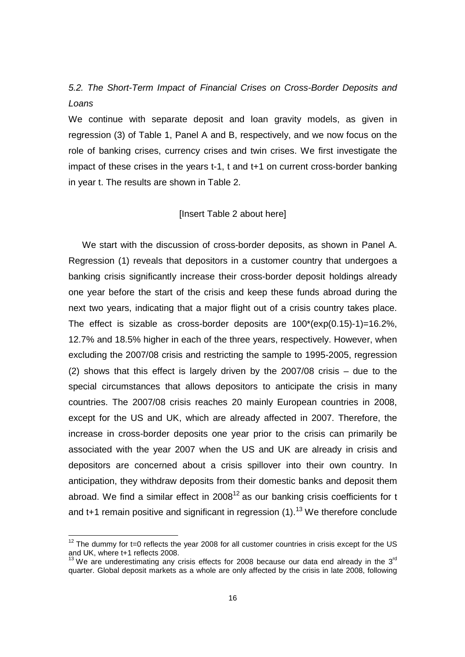# 5.2. The Short-Term Impact of Financial Crises on Cross-Border Deposits and Loans

We continue with separate deposit and loan gravity models, as given in regression (3) of Table 1, Panel A and B, respectively, and we now focus on the role of banking crises, currency crises and twin crises. We first investigate the impact of these crises in the years t-1, t and t+1 on current cross-border banking in year t. The results are shown in Table 2.

### [Insert Table 2 about here]

 We start with the discussion of cross-border deposits, as shown in Panel A. Regression (1) reveals that depositors in a customer country that undergoes a banking crisis significantly increase their cross-border deposit holdings already one year before the start of the crisis and keep these funds abroad during the next two years, indicating that a major flight out of a crisis country takes place. The effect is sizable as cross-border deposits are  $100^*(exp(0.15)-1)=16.2\%$ , 12.7% and 18.5% higher in each of the three years, respectively. However, when excluding the 2007/08 crisis and restricting the sample to 1995-2005, regression (2) shows that this effect is largely driven by the 2007/08 crisis – due to the special circumstances that allows depositors to anticipate the crisis in many countries. The 2007/08 crisis reaches 20 mainly European countries in 2008, except for the US and UK, which are already affected in 2007. Therefore, the increase in cross-border deposits one year prior to the crisis can primarily be associated with the year 2007 when the US and UK are already in crisis and depositors are concerned about a crisis spillover into their own country. In anticipation, they withdraw deposits from their domestic banks and deposit them abroad. We find a similar effect in  $2008^{12}$  as our banking crisis coefficients for t and  $t+1$  remain positive and significant in regression  $(1)$ .<sup>13</sup> We therefore conclude

-

 $12$  The dummy for t=0 reflects the year 2008 for all customer countries in crisis except for the US and UK, where t+1 reflects 2008.

 $13$  We are underestimating any crisis effects for 2008 because our data end already in the  $3<sup>rd</sup>$ quarter. Global deposit markets as a whole are only affected by the crisis in late 2008, following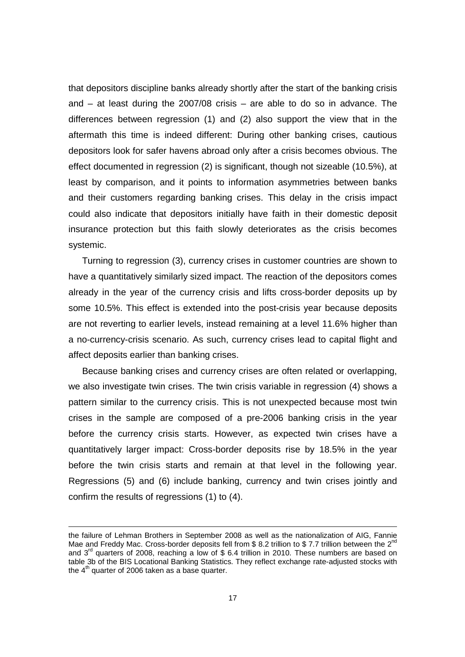that depositors discipline banks already shortly after the start of the banking crisis and – at least during the 2007/08 crisis – are able to do so in advance. The differences between regression (1) and (2) also support the view that in the aftermath this time is indeed different: During other banking crises, cautious depositors look for safer havens abroad only after a crisis becomes obvious. The effect documented in regression (2) is significant, though not sizeable (10.5%), at least by comparison, and it points to information asymmetries between banks and their customers regarding banking crises. This delay in the crisis impact could also indicate that depositors initially have faith in their domestic deposit insurance protection but this faith slowly deteriorates as the crisis becomes systemic.

 Turning to regression (3), currency crises in customer countries are shown to have a quantitatively similarly sized impact. The reaction of the depositors comes already in the year of the currency crisis and lifts cross-border deposits up by some 10.5%. This effect is extended into the post-crisis year because deposits are not reverting to earlier levels, instead remaining at a level 11.6% higher than a no-currency-crisis scenario. As such, currency crises lead to capital flight and affect deposits earlier than banking crises.

 Because banking crises and currency crises are often related or overlapping, we also investigate twin crises. The twin crisis variable in regression (4) shows a pattern similar to the currency crisis. This is not unexpected because most twin crises in the sample are composed of a pre-2006 banking crisis in the year before the currency crisis starts. However, as expected twin crises have a quantitatively larger impact: Cross-border deposits rise by 18.5% in the year before the twin crisis starts and remain at that level in the following year. Regressions (5) and (6) include banking, currency and twin crises jointly and confirm the results of regressions (1) to (4).

l

the failure of Lehman Brothers in September 2008 as well as the nationalization of AIG, Fannie Mae and Freddy Mac. Cross-border deposits fell from \$ 8.2 trillion to \$7.7 trillion between the  $2^{nc}$ and  $3<sup>rd</sup>$  quarters of 2008, reaching a low of \$ 6.4 trillion in 2010. These numbers are based on table 3b of the BIS Locational Banking Statistics. They reflect exchange rate-adjusted stocks with the  $4<sup>th</sup>$  quarter of 2006 taken as a base quarter.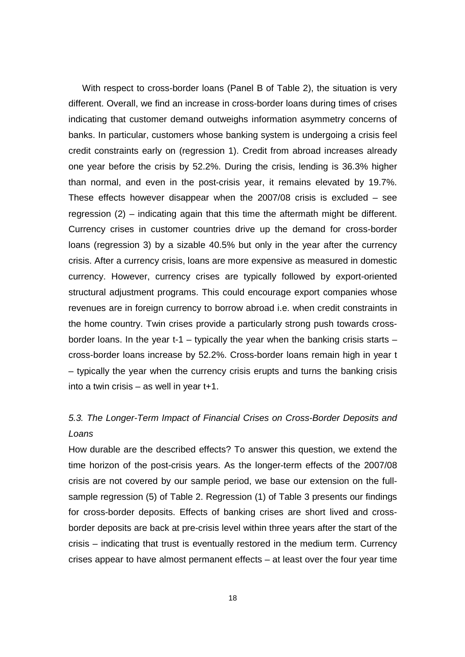With respect to cross-border loans (Panel B of Table 2), the situation is very different. Overall, we find an increase in cross-border loans during times of crises indicating that customer demand outweighs information asymmetry concerns of banks. In particular, customers whose banking system is undergoing a crisis feel credit constraints early on (regression 1). Credit from abroad increases already one year before the crisis by 52.2%. During the crisis, lending is 36.3% higher than normal, and even in the post-crisis year, it remains elevated by 19.7%. These effects however disappear when the 2007/08 crisis is excluded – see regression (2) – indicating again that this time the aftermath might be different. Currency crises in customer countries drive up the demand for cross-border loans (regression 3) by a sizable 40.5% but only in the year after the currency crisis. After a currency crisis, loans are more expensive as measured in domestic currency. However, currency crises are typically followed by export-oriented structural adjustment programs. This could encourage export companies whose revenues are in foreign currency to borrow abroad i.e. when credit constraints in the home country. Twin crises provide a particularly strong push towards crossborder loans. In the year t-1 – typically the year when the banking crisis starts – cross-border loans increase by 52.2%. Cross-border loans remain high in year t – typically the year when the currency crisis erupts and turns the banking crisis into a twin crisis  $-$  as well in year  $t+1$ .

# 5.3. The Longer-Term Impact of Financial Crises on Cross-Border Deposits and Loans

How durable are the described effects? To answer this question, we extend the time horizon of the post-crisis years. As the longer-term effects of the 2007/08 crisis are not covered by our sample period, we base our extension on the fullsample regression (5) of Table 2. Regression (1) of Table 3 presents our findings for cross-border deposits. Effects of banking crises are short lived and crossborder deposits are back at pre-crisis level within three years after the start of the crisis – indicating that trust is eventually restored in the medium term. Currency crises appear to have almost permanent effects – at least over the four year time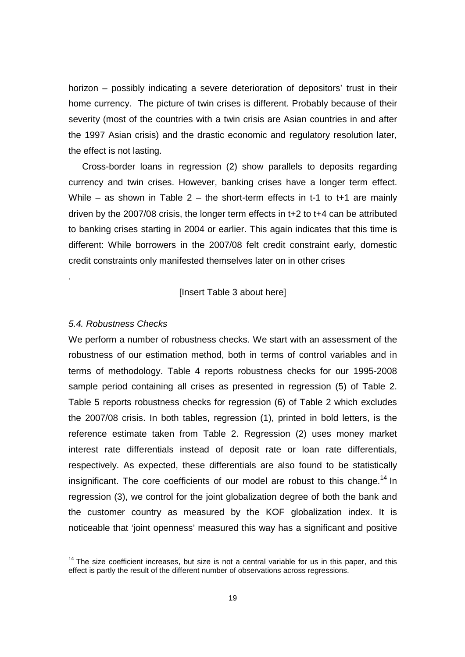horizon – possibly indicating a severe deterioration of depositors' trust in their home currency. The picture of twin crises is different. Probably because of their severity (most of the countries with a twin crisis are Asian countries in and after the 1997 Asian crisis) and the drastic economic and regulatory resolution later, the effect is not lasting.

 Cross-border loans in regression (2) show parallels to deposits regarding currency and twin crises. However, banking crises have a longer term effect. While – as shown in Table  $2$  – the short-term effects in t-1 to t+1 are mainly driven by the 2007/08 crisis, the longer term effects in t+2 to t+4 can be attributed to banking crises starting in 2004 or earlier. This again indicates that this time is different: While borrowers in the 2007/08 felt credit constraint early, domestic credit constraints only manifested themselves later on in other crises

[Insert Table 3 about here]

### 5.4. Robustness Checks

.

<u>.</u>

We perform a number of robustness checks. We start with an assessment of the robustness of our estimation method, both in terms of control variables and in terms of methodology. Table 4 reports robustness checks for our 1995-2008 sample period containing all crises as presented in regression (5) of Table 2. Table 5 reports robustness checks for regression (6) of Table 2 which excludes the 2007/08 crisis. In both tables, regression (1), printed in bold letters, is the reference estimate taken from Table 2. Regression (2) uses money market interest rate differentials instead of deposit rate or loan rate differentials, respectively. As expected, these differentials are also found to be statistically insignificant. The core coefficients of our model are robust to this change.<sup>14</sup> In regression (3), we control for the joint globalization degree of both the bank and the customer country as measured by the KOF globalization index. It is noticeable that 'joint openness' measured this way has a significant and positive

 $14$  The size coefficient increases, but size is not a central variable for us in this paper, and this effect is partly the result of the different number of observations across regressions.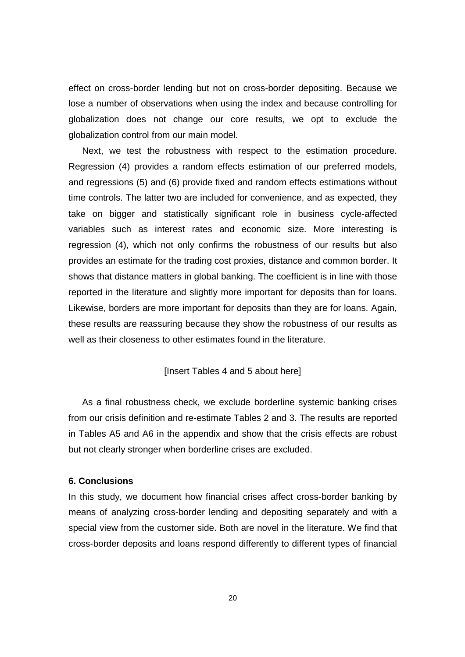effect on cross-border lending but not on cross-border depositing. Because we lose a number of observations when using the index and because controlling for globalization does not change our core results, we opt to exclude the globalization control from our main model.

 Next, we test the robustness with respect to the estimation procedure. Regression (4) provides a random effects estimation of our preferred models, and regressions (5) and (6) provide fixed and random effects estimations without time controls. The latter two are included for convenience, and as expected, they take on bigger and statistically significant role in business cycle-affected variables such as interest rates and economic size. More interesting is regression (4), which not only confirms the robustness of our results but also provides an estimate for the trading cost proxies, distance and common border. It shows that distance matters in global banking. The coefficient is in line with those reported in the literature and slightly more important for deposits than for loans. Likewise, borders are more important for deposits than they are for loans. Again, these results are reassuring because they show the robustness of our results as well as their closeness to other estimates found in the literature.

## [Insert Tables 4 and 5 about here]

 As a final robustness check, we exclude borderline systemic banking crises from our crisis definition and re-estimate Tables 2 and 3. The results are reported in Tables A5 and A6 in the appendix and show that the crisis effects are robust but not clearly stronger when borderline crises are excluded.

### **6. Conclusions**

In this study, we document how financial crises affect cross-border banking by means of analyzing cross-border lending and depositing separately and with a special view from the customer side. Both are novel in the literature. We find that cross-border deposits and loans respond differently to different types of financial

20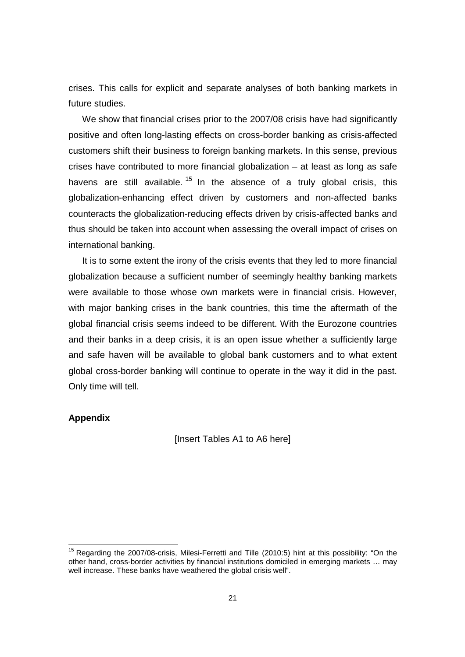crises. This calls for explicit and separate analyses of both banking markets in future studies.

 We show that financial crises prior to the 2007/08 crisis have had significantly positive and often long-lasting effects on cross-border banking as crisis-affected customers shift their business to foreign banking markets. In this sense, previous crises have contributed to more financial globalization – at least as long as safe havens are still available.<sup>15</sup> In the absence of a truly global crisis, this globalization-enhancing effect driven by customers and non-affected banks counteracts the globalization-reducing effects driven by crisis-affected banks and thus should be taken into account when assessing the overall impact of crises on international banking.

 It is to some extent the irony of the crisis events that they led to more financial globalization because a sufficient number of seemingly healthy banking markets were available to those whose own markets were in financial crisis. However, with major banking crises in the bank countries, this time the aftermath of the global financial crisis seems indeed to be different. With the Eurozone countries and their banks in a deep crisis, it is an open issue whether a sufficiently large and safe haven will be available to global bank customers and to what extent global cross-border banking will continue to operate in the way it did in the past. Only time will tell.

## **Appendix**

-

[Insert Tables A1 to A6 here]

<sup>&</sup>lt;sup>15</sup> Regarding the 2007/08-crisis, Milesi-Ferretti and Tille (2010:5) hint at this possibility: "On the other hand, cross-border activities by financial institutions domiciled in emerging markets … may well increase. These banks have weathered the global crisis well".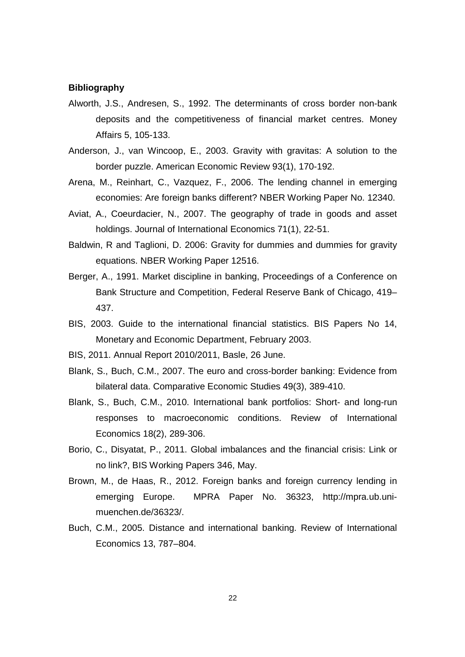### **Bibliography**

- Alworth, J.S., Andresen, S., 1992. The determinants of cross border non-bank deposits and the competitiveness of financial market centres. Money Affairs 5, 105-133.
- Anderson, J., van Wincoop, E., 2003. Gravity with gravitas: A solution to the border puzzle. American Economic Review 93(1), 170-192.
- Arena, M., Reinhart, C., Vazquez, F., 2006. The lending channel in emerging economies: Are foreign banks different? NBER Working Paper No. 12340.
- Aviat, A., Coeurdacier, N., 2007. The geography of trade in goods and asset holdings. Journal of International Economics 71(1), 22-51.
- Baldwin, R and Taglioni, D. 2006: Gravity for dummies and dummies for gravity equations. NBER Working Paper 12516.
- Berger, A., 1991. Market discipline in banking, Proceedings of a Conference on Bank Structure and Competition, Federal Reserve Bank of Chicago, 419– 437.
- BIS, 2003. Guide to the international financial statistics. BIS Papers No 14, Monetary and Economic Department, February 2003.
- BIS, 2011. Annual Report 2010/2011, Basle, 26 June.
- Blank, S., Buch, C.M., 2007. The euro and cross-border banking: Evidence from bilateral data. Comparative Economic Studies 49(3), 389-410.
- Blank, S., Buch, C.M., 2010. International bank portfolios: Short- and long-run responses to macroeconomic conditions. Review of International Economics 18(2), 289-306.
- Borio, C., Disyatat, P., 2011. Global imbalances and the financial crisis: Link or no link?, BIS Working Papers 346, May.
- Brown, M., de Haas, R., 2012. Foreign banks and foreign currency lending in emerging Europe. MPRA Paper No. 36323, http://mpra.ub.unimuenchen.de/36323/.
- Buch, C.M., 2005. Distance and international banking. Review of International Economics 13, 787–804.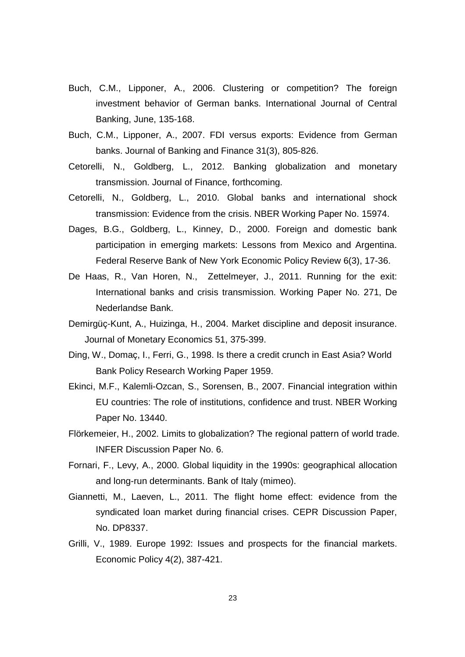- Buch, C.M., Lipponer, A., 2006. Clustering or competition? The foreign investment behavior of German banks. International Journal of Central Banking, June, 135-168.
- Buch, C.M., Lipponer, A., 2007. FDI versus exports: Evidence from German banks. Journal of Banking and Finance 31(3), 805-826.
- Cetorelli, N., Goldberg, L., 2012. Banking globalization and monetary transmission. Journal of Finance, forthcoming.
- Cetorelli, N., Goldberg, L., 2010. Global banks and international shock transmission: Evidence from the crisis. NBER Working Paper No. 15974.
- Dages, B.G., Goldberg, L., Kinney, D., 2000. Foreign and domestic bank participation in emerging markets: Lessons from Mexico and Argentina. Federal Reserve Bank of New York Economic Policy Review 6(3), 17-36.
- De Haas, R., Van Horen, N., Zettelmeyer, J., 2011. Running for the exit: International banks and crisis transmission. Working Paper No. 271, De Nederlandse Bank.
- Demirgüç-Kunt, A., Huizinga, H., 2004. Market discipline and deposit insurance. Journal of Monetary Economics 51, 375-399.
- Ding, W., Domaç, I., Ferri, G., 1998. Is there a credit crunch in East Asia? World Bank Policy Research Working Paper 1959.
- Ekinci, M.F., Kalemli-Ozcan, S., Sorensen, B., 2007. Financial integration within EU countries: The role of institutions, confidence and trust. NBER Working Paper No. 13440.
- Flörkemeier, H., 2002. Limits to globalization? The regional pattern of world trade. INFER Discussion Paper No. 6.
- Fornari, F., Levy, A., 2000. Global liquidity in the 1990s: geographical allocation and long-run determinants. Bank of Italy (mimeo).
- Giannetti, M., Laeven, L., 2011. The flight home effect: evidence from the syndicated loan market during financial crises. CEPR Discussion Paper, No. DP8337.
- Grilli, V., 1989. Europe 1992: Issues and prospects for the financial markets. Economic Policy 4(2), 387-421.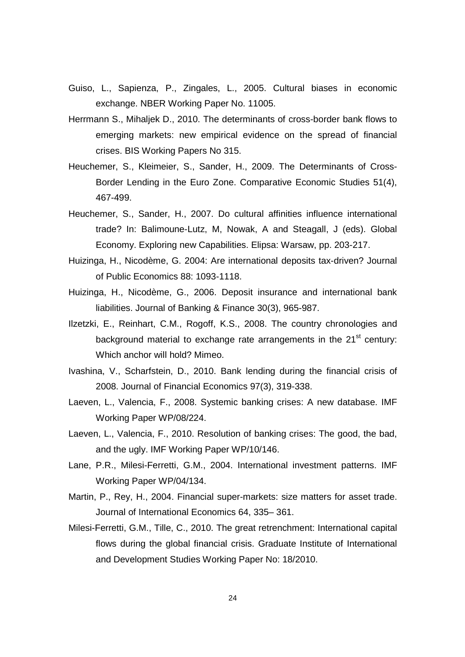- Guiso, L., Sapienza, P., Zingales, L., 2005. Cultural biases in economic exchange. NBER Working Paper No. 11005.
- Herrmann S., Mihaljek D., 2010. The determinants of cross-border bank flows to emerging markets: new empirical evidence on the spread of financial crises. BIS Working Papers No 315.
- Heuchemer, S., Kleimeier, S., Sander, H., 2009. The Determinants of Cross-Border Lending in the Euro Zone. Comparative Economic Studies 51(4), 467-499.
- Heuchemer, S., Sander, H., 2007. Do cultural affinities influence international trade? In: Balimoune-Lutz, M, Nowak, A and Steagall, J (eds). Global Economy. Exploring new Capabilities. Elipsa: Warsaw, pp. 203-217.
- Huizinga, H., Nicodème, G. 2004: Are international deposits tax-driven? Journal of Public Economics 88: 1093-1118.
- Huizinga, H., Nicodème, G., 2006. Deposit insurance and international bank liabilities. Journal of Banking & Finance 30(3), 965-987.
- Ilzetzki, E., Reinhart, C.M., Rogoff, K.S., 2008. The country chronologies and background material to exchange rate arrangements in the  $21<sup>st</sup>$  century: Which anchor will hold? Mimeo.
- Ivashina, V., Scharfstein, D., 2010. Bank lending during the financial crisis of 2008. Journal of Financial Economics 97(3), 319-338.
- Laeven, L., Valencia, F., 2008. Systemic banking crises: A new database. IMF Working Paper WP/08/224.
- Laeven, L., Valencia, F., 2010. Resolution of banking crises: The good, the bad, and the ugly. IMF Working Paper WP/10/146.
- Lane, P.R., Milesi-Ferretti, G.M., 2004. International investment patterns. IMF Working Paper WP/04/134.
- Martin, P., Rey, H., 2004. Financial super-markets: size matters for asset trade. Journal of International Economics 64, 335– 361.
- Milesi-Ferretti, G.M., Tille, C., 2010. The great retrenchment: International capital flows during the global financial crisis. Graduate Institute of International and Development Studies Working Paper No: 18/2010.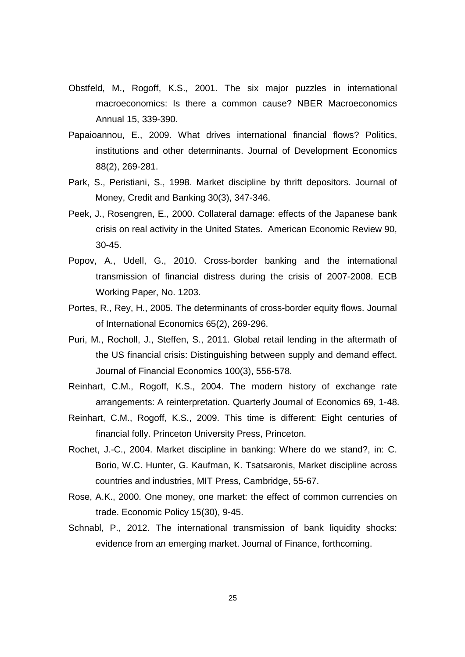- Obstfeld, M., Rogoff, K.S., 2001. The six major puzzles in international macroeconomics: Is there a common cause? NBER Macroeconomics Annual 15, 339-390.
- Papaioannou, E., 2009. What drives international financial flows? Politics, institutions and other determinants. Journal of Development Economics 88(2), 269-281.
- Park, S., Peristiani, S., 1998. Market discipline by thrift depositors. Journal of Money, Credit and Banking 30(3), 347-346.
- Peek, J., Rosengren, E., 2000. Collateral damage: effects of the Japanese bank crisis on real activity in the United States. American Economic Review 90, 30-45.
- Popov, A., Udell, G., 2010. Cross-border banking and the international transmission of financial distress during the crisis of 2007-2008. ECB Working Paper, No. 1203.
- Portes, R., Rey, H., 2005. The determinants of cross-border equity flows. Journal of International Economics 65(2), 269-296.
- Puri, M., Rocholl, J., Steffen, S., 2011. Global retail lending in the aftermath of the US financial crisis: Distinguishing between supply and demand effect. Journal of Financial Economics 100(3), 556-578.
- Reinhart, C.M., Rogoff, K.S., 2004. The modern history of exchange rate arrangements: A reinterpretation. Quarterly Journal of Economics 69, 1-48.
- Reinhart, C.M., Rogoff, K.S., 2009. This time is different: Eight centuries of financial folly. Princeton University Press, Princeton.
- Rochet, J.-C., 2004. Market discipline in banking: Where do we stand?, in: C. Borio, W.C. Hunter, G. Kaufman, K. Tsatsaronis, Market discipline across countries and industries, MIT Press, Cambridge, 55-67.
- Rose, A.K., 2000. One money, one market: the effect of common currencies on trade. Economic Policy 15(30), 9-45.
- Schnabl, P., 2012. The international transmission of bank liquidity shocks: evidence from an emerging market. Journal of Finance, forthcoming.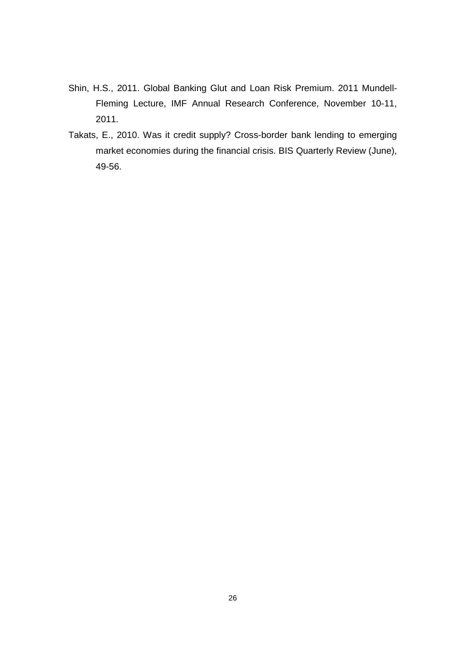- Shin, H.S., 2011. Global Banking Glut and Loan Risk Premium. 2011 Mundell-Fleming Lecture, IMF Annual Research Conference, November 10-11, 2011.
- Takats, E., 2010. Was it credit supply? Cross-border bank lending to emerging market economies during the financial crisis. BIS Quarterly Review (June), 49-56.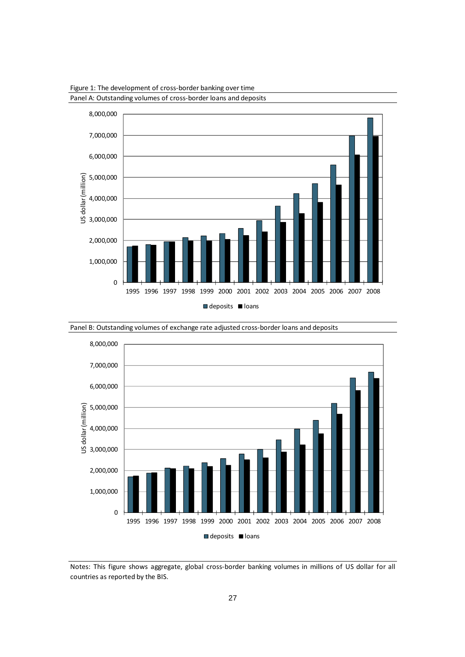

Figure 1: The development of cross-border banking over time

Panel B: Outstanding volumes of exchange rate adjusted cross-border loans and deposits



Notes: This figure shows aggregate, global cross-border banking volumes in millions of US dollar for all countries as reported by the BIS.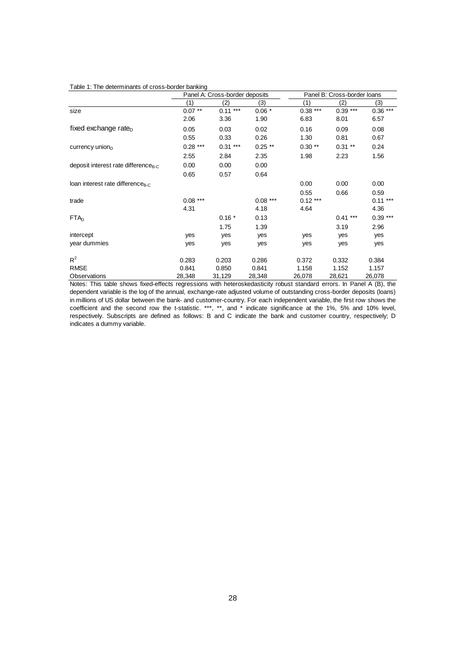#### Table 1: The determinants of cross-border banking

| Table T. The determinants of cross-border banking |            |                                |           |           |                             |           |
|---------------------------------------------------|------------|--------------------------------|-----------|-----------|-----------------------------|-----------|
|                                                   |            | Panel A: Cross-border deposits |           |           | Panel B: Cross-border loans |           |
|                                                   | (1)        | (2)                            | (3)       | (1)       | (2)                         | (3)       |
| size                                              | $0.07**$   | $***$<br>0.11                  | $0.06*$   | $0.38***$ | $0.39***$                   | $0.36***$ |
|                                                   | 2.06       | 3.36                           | 1.90      | 6.83      | 8.01                        | 6.57      |
| fixed exchange rate $_D$                          | 0.05       | 0.03                           | 0.02      | 0.16      | 0.09                        | 0.08      |
|                                                   | 0.55       | 0.33                           | 0.26      | 1.30      | 0.81                        | 0.67      |
| currency union $_{\text{D}}$                      | $0.28$ *** | $0.31***$                      | $0.25$ ** | $0.30**$  | $0.31***$                   | 0.24      |
|                                                   | 2.55       | 2.84                           | 2.35      | 1.98      | 2.23                        | 1.56      |
| deposit interest rate difference <sub>B-C</sub>   | 0.00       | 0.00                           | 0.00      |           |                             |           |
|                                                   | 0.65       | 0.57                           | 0.64      |           |                             |           |
| loan interest rate difference $_{B-C}$            |            |                                |           | 0.00      | 0.00                        | 0.00      |
|                                                   |            |                                |           | 0.55      | 0.66                        | 0.59      |
| trade                                             | $0.08***$  |                                | $0.08***$ | $0.12***$ |                             | $0.11***$ |
|                                                   | 4.31       |                                | 4.18      | 4.64      |                             | 4.36      |
| FTA <sub>D</sub>                                  |            | $0.16*$                        | 0.13      |           | $0.41***$                   | $0.39***$ |
|                                                   |            | 1.75                           | 1.39      |           | 3.19                        | 2.96      |
| intercept                                         | yes        | yes                            | yes       | yes       | yes                         | yes       |
| year dummies                                      | yes        | yes                            | yes       | yes       | yes                         | yes       |
| $R^2$                                             | 0.283      | 0.203                          | 0.286     | 0.372     | 0.332                       | 0.384     |
| <b>RMSE</b>                                       | 0.841      | 0.850                          | 0.841     | 1.158     | 1.152                       | 1.157     |
| Observations                                      | 28,348     | 31,129                         | 28,348    | 26,078    | 28,621                      | 26,078    |

Notes: This table shows fixed-effects regressions with heteroskedasticity robust standard errors. In Panel A (B), the dependent variable is the log of the annual, exchange-rate adjusted volume of outstanding cross-border deposits (loans) in millions of US dollar between the bank- and customer-country. For each independent variable, the first row shows the coefficient and the second row the t-statistic. \*\*\*, \*\*, and \* indicate significance at the 1%, 5% and 10% level, respectively. Subscripts are defined as follows: B and C indicate the bank and customer country, respectively; D indicates a dummy variable.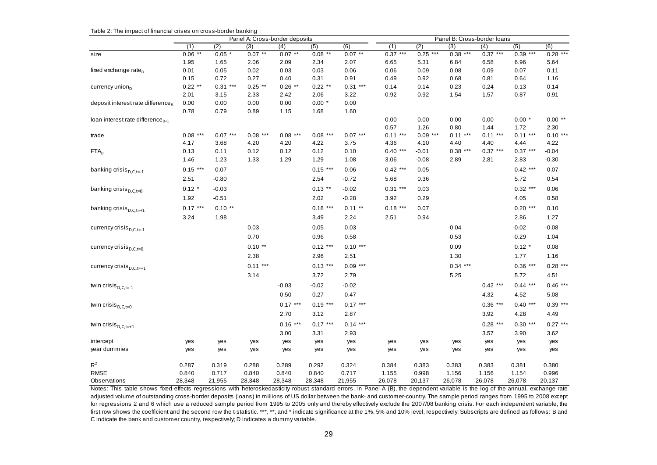|                                        |                      |           | Panel A: Cross-border deposits |           |            |           | Panel B: Cross-border loans |                   |                   |                   |                   |                   |  |  |
|----------------------------------------|----------------------|-----------|--------------------------------|-----------|------------|-----------|-----------------------------|-------------------|-------------------|-------------------|-------------------|-------------------|--|--|
|                                        | (1)                  | (2)       | $\overline{3}$                 | (4)       | (5)        | (6)       | (1)                         | (2)               | (3)               | (4)               | (5)               | (6)               |  |  |
| size                                   | 0.06<br>$\star\star$ | $0.05*$   | $0.07$ **                      | $0.07$ ** | $0.08$ **  | $0.07$ ** | $0.37***$                   | $0.25***$         | $0.38***$         | $0.37***$         | $0.39***$         | $0.28***$         |  |  |
|                                        | 1.95                 | 1.65      | 2.06                           | 2.09      | 2.34       | 2.07      | 6.65                        | 5.31              | 6.84              | 6.58              | 6.96              | 5.64              |  |  |
| fixed exchange rate <sub>D</sub>       | 0.01                 | 0.05      | 0.02                           | 0.03      | 0.03       | 0.06      | 0.06                        | 0.09              | 0.08              | 0.09              | 0.07              | 0.11              |  |  |
|                                        | 0.15                 | 0.72      | 0.27                           | 0.40      | 0.31       | 0.91      | 0.49                        | 0.92              | 0.68              | 0.81              | 0.64              | 1.16              |  |  |
| currency union $D$                     | $0.22$ **            | $0.31***$ | $0.25$ **                      | $0.26$ ** | $0.22$ **  | $0.31***$ | 0.14                        | 0.14              | 0.23              | 0.24              | 0.13              | 0.14              |  |  |
|                                        | 2.01                 | 3.15      | 2.33                           | 2.42      | 2.06       | 3.22      | 0.92                        | 0.92              | 1.54              | 1.57              | 0.87              | 0.91              |  |  |
| deposit interest rate difference $_B$  | 0.00                 | 0.00      | 0.00                           | 0.00      | $0.00*$    | 0.00      |                             |                   |                   |                   |                   |                   |  |  |
|                                        | 0.78                 | 0.79      | 0.89                           | 1.15      | 1.68       | 1.60      |                             |                   |                   |                   |                   |                   |  |  |
| loan interest rate difference $_{B-C}$ |                      |           |                                |           |            |           | 0.00                        | 0.00              | 0.00              | 0.00              | $0.00*$           | $0.00**$          |  |  |
| trade                                  | $0.08***$            | $0.07***$ | $0.08***$                      | $0.08***$ | $0.08$ *** | $0.07***$ | 0.57<br>$0.11***$           | 1.26<br>$0.09***$ | 0.80<br>$0.11***$ | 1.44<br>$0.11***$ | 1.72<br>$0.11***$ | 2.30<br>$0.10***$ |  |  |
|                                        | 4.17                 | 3.68      | 4.20                           | 4.20      | 4.22       | 3.75      | 4.36                        | 4.10              | 4.40              | 4.40              | 4.44              | 4.22              |  |  |
| FTA <sub>D</sub>                       | 0.13                 | 0.11      | 0.12                           | 0.12      | 0.12       | 0.10      | $0.40***$                   | $-0.01$           | $0.38***$         | $0.37***$         | $0.37***$         | $-0.04$           |  |  |
|                                        | 1.46                 | 1.23      | 1.33                           | 1.29      | 1.29       | 1.08      | 3.06                        | $-0.08$           | 2.89              | 2.81              | 2.83              | $-0.30$           |  |  |
| banking crisis $_{D,C,t=-1}$           | $0.15***$            | $-0.07$   |                                |           | $0.15***$  | $-0.06$   | $0.42$ ***                  | 0.05              |                   |                   | $0.42***$         | 0.07              |  |  |
|                                        | 2.51                 | $-0.80$   |                                |           | 2.54       | $-0.72$   | 5.68                        | 0.36              |                   |                   | 5.72              | 0.54              |  |  |
| banking crisis $_{D,C,t=0}$            | $0.12 *$             | $-0.03$   |                                |           | $0.13$ **  | $-0.02$   | $0.31***$                   | 0.03              |                   |                   | $0.32***$         | 0.06              |  |  |
|                                        | 1.92                 | $-0.51$   |                                |           | 2.02       | $-0.28$   | 3.92                        | 0.29              |                   |                   | 4.05              | 0.58              |  |  |
| banking crisis $_{D,C,t=+1}$           | $0.17***$            | $0.10**$  |                                |           | $0.18***$  | $0.11$ ** | $0.18***$                   | 0.07              |                   |                   | $0.20***$         | 0.10              |  |  |
|                                        | 3.24                 | 1.98      |                                |           | 3.49       | 2.24      | 2.51                        | 0.94              |                   |                   | 2.86              | 1.27              |  |  |
| currency crisis $_{D,C,t=-1}$          |                      |           | 0.03                           |           | 0.05       | 0.03      |                             |                   | $-0.04$           |                   | $-0.02$           | $-0.08$           |  |  |
|                                        |                      |           | 0.70                           |           | 0.96       | 0.58      |                             |                   | $-0.53$           |                   | $-0.29$           | $-1.04$           |  |  |
| currency crisis $_{D,C,t=0}$           |                      |           | $0.10**$                       |           | $0.12***$  | $0.10***$ |                             |                   | 0.09              |                   | $0.12$ *          | 0.08              |  |  |
|                                        |                      |           | 2.38                           |           | 2.96       | 2.51      |                             |                   | 1.30              |                   | 1.77              | 1.16              |  |  |
| currency crisis $_{D,C,t=+1}$          |                      |           | $0.11***$                      |           | $0.13***$  | $0.09***$ |                             |                   | $0.34***$         |                   | $0.36***$         | $0.28$ ***        |  |  |
|                                        |                      |           | 3.14                           |           | 3.72       | 2.79      |                             |                   | 5.25              |                   | 5.72              | 4.51              |  |  |
| twin crisis $_{D,C,t=-1}$              |                      |           |                                | $-0.03$   | $-0.02$    | $-0.02$   |                             |                   |                   | $0.42$ ***        | $0.44***$         | $0.46$ ***        |  |  |
|                                        |                      |           |                                | $-0.50$   | $-0.27$    | $-0.47$   |                             |                   |                   | 4.32              | 4.52              | 5.08              |  |  |
| twin crisis $_{D,C,t=0}$               |                      |           |                                | $0.17***$ | $0.19***$  | $0.17***$ |                             |                   |                   | $0.36***$         | $0.40***$         | $0.39***$         |  |  |
|                                        |                      |           |                                | 2.70      | 3.12       | 2.87      |                             |                   |                   | 3.92              | 4.28              | 4.49              |  |  |
| twin crisis $_{D,C,t=+1}$              |                      |           |                                | $0.16***$ | $0.17***$  | $0.14***$ |                             |                   |                   | $0.28$ ***        | $0.30***$         | $0.27***$         |  |  |
|                                        |                      |           |                                | 3.00      | 3.31       | 2.93      |                             |                   |                   | 3.57              | 3.90              | 3.62              |  |  |
| intercept                              | yes                  | yes       | yes                            | yes       | yes        | yes       | yes                         | yes               | yes               | yes               | yes               | yes               |  |  |
| year dummies                           | yes                  | yes       | yes                            | yes       | yes        | yes       | yes                         | yes               | yes               | yes               | yes               | yes               |  |  |
| $\mathsf{R}^2$                         | 0.287                | 0.319     | 0.288                          | 0.289     | 0.292      | 0.324     | 0.384                       | 0.383             | 0.383             | 0.383             | 0.381             | 0.380             |  |  |
| <b>RMSE</b>                            | 0.840                | 0.717     | 0.840                          | 0.840     | 0.840      | 0.717     | 1.155                       | 0.998             | 1.156             | 1.156             | 1.154             | 0.996             |  |  |
| Observations                           | 28,348               | 21,955    | 28,348                         | 28,348    | 28,348     | 21,955    | 26,078                      | 20,137            | 26,078            | 26,078            | 26,078            | 20,137            |  |  |

Table 2: The impact of financial crises on cross-border banking

 Notes: This table shows fixed-effects regressions with heteroskedasticity robust standard errors. In Panel A (B), the dependent variable is the log of the annual, exchange rate adjusted volume of outstanding cross-border deposits (loans) in millions of US dollar between the bank- and customer-country. The sample period ranges from 1995 to 2008 except for regressions 2 and 6 which use a reduced sample period from 1995 to 2005 only and thereby effectively exclude the 2007/08 banking crisis. For each independent variable, the<br>Fortune these of the the description in the la first row shows the coefficient and the second row the t-statistic. \*\*\*, \*\*, and \* indicate significance at the 1%, 5% and 10% level, respectively. Subscripts are defined as follows: B and C indicate the bank and customer country, respectively; D indicates a dummy variable.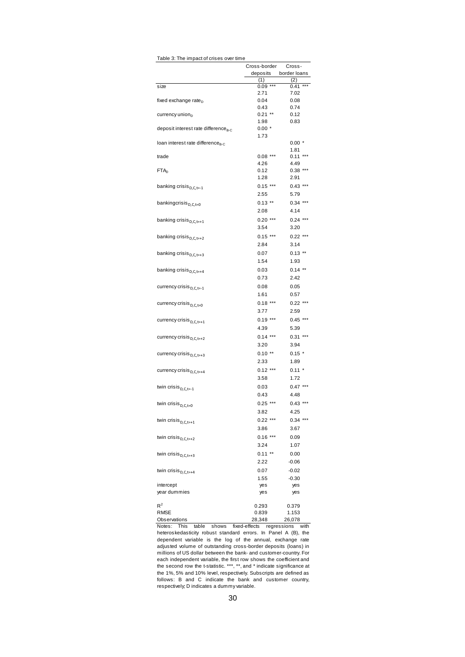|                                                 | Cross-border    | Cross-            |
|-------------------------------------------------|-----------------|-------------------|
|                                                 | deposits        | border loans      |
|                                                 | (1)             | (2)               |
| size                                            | $0.09***$       | $0.41***$         |
| fixed exchange rate <sub>D</sub>                | 2.71<br>0.04    | 7.02<br>0.08      |
|                                                 | 0.43            | 0.74              |
| currency union <sub>n</sub>                     | $0.21$ **       | 0.12              |
|                                                 | 1.98            | 0.83              |
| deposit interest rate difference <sub>B-C</sub> | $0.00*$         |                   |
|                                                 | 1.73            |                   |
| loan interest rate difference <sub>B-C</sub>    |                 | $0.00*$           |
| trade                                           | $0.08***$       | 1.81<br>$0.11***$ |
|                                                 | 4.26            | 4.49              |
| FTA <sub>D</sub>                                | 0.12            | $0.38***$         |
|                                                 | 1.28            | 2.91              |
| banking crisis $_{D,C,t=-1}$                    | $0.15***$       | $0.43$ ***        |
|                                                 | 2.55            | 5.79              |
| bankingcrisis <sub>D,C,t=0</sub>                | $0.13$ **       | $0.34***$         |
|                                                 | 2.08            | 4.14              |
| banking crisis <sub>D,C,t=+1</sub>              | $0.20***$       | $0.24$ ***        |
|                                                 | 3.54            | 3.20              |
| banking crisis <sub>D,C,t=+2</sub>              | $0.15***$       | $0.22***$         |
|                                                 | 2.84            | 3.14              |
|                                                 |                 | $0.13$ **         |
| banking crisis <sub>D,C,t=+3</sub>              | 0.07<br>1.54    | 1.93              |
|                                                 |                 |                   |
| banking crisis <sub>D,C,t=+4</sub>              | 0.03            | $0.14$ **         |
|                                                 | 0.73            | 2.42              |
| currency crisis <sub>D, C, t=-1</sub>           | 0.08            | 0.05              |
|                                                 | 1.61            | 0.57              |
| currency crisis <sub>D, C, t=0</sub>            | $0.18***$       | $0.22$ ***        |
|                                                 | 3.77            | 2.59              |
| currency crisis $_{D,C,t=+1}$                   | $0.19***$       | $0.45$ ***        |
|                                                 | 4.39            | 5.39              |
| currency crisis <sub>D, C, t=+2</sub>           | $0.14***$       | $0.31***$         |
|                                                 | 3.20            | 3.94              |
| currency crisis $_{D,C,t=+3}$                   | $0.10**$        | $0.15$ *          |
|                                                 | 2.33            | 1.89              |
| currency crisis <sub>D, C, t=+4</sub>           | $0.12***$       | $0.11 *$          |
|                                                 | 3.58            | 1.72              |
| twin crisis $_{D,C,t=-1}$                       | 0.03            | $0.47***$         |
|                                                 | 0.43            | 4.48              |
| twin crisis <sub>D, C, t=0</sub>                | $0.25***$       | $0.43$ ***        |
|                                                 | 3.82            | 4.25              |
| twin crisis $_{D,C,t=+1}$                       | $0.22***$       | $0.34***$         |
|                                                 | 3.86            | 3.67              |
| twin crisis $_{D,C,t=+2}$                       | $0.16***$       | 0.09              |
|                                                 | 3.24            | 1.07              |
| twin crisis $_{D,C,t=+3}$                       | $0.11***$       | 0.00              |
|                                                 | 2.22            | $-0.06$           |
| twin crisis $_{D,C,t=+4}$                       | 0.07            | $-0.02$           |
|                                                 | 1.55            | $-0.30$           |
| intercept                                       | yes             | yes               |
| year dummies                                    | yes             | yes               |
|                                                 |                 |                   |
| $R^2$                                           | 0.293           | 0.379             |
| <b>RMSE</b><br>Observations                     | 0.839<br>28,348 | 1.153<br>26,078   |

Table 3: The impact of crises over time

Notes: This table shows fixed-effects regressions with heteroskedasticity robust standard errors. In Panel A (B), the dependent variable is the log of the annual, exchange rate adjusted volume of outstanding cross-border deposits (loans) in millions of US dollar between the bank- and customer-country. For each independent variable, the first row shows the coefficient and the second row the t-statistic. \*\*\*, \*\*, and \* indicate significance at the 1%, 5% and 10% level, respectively. Subscripts are defined as follows: B and C indicate the bank and customer country, respectively; D indicates a dummy variable.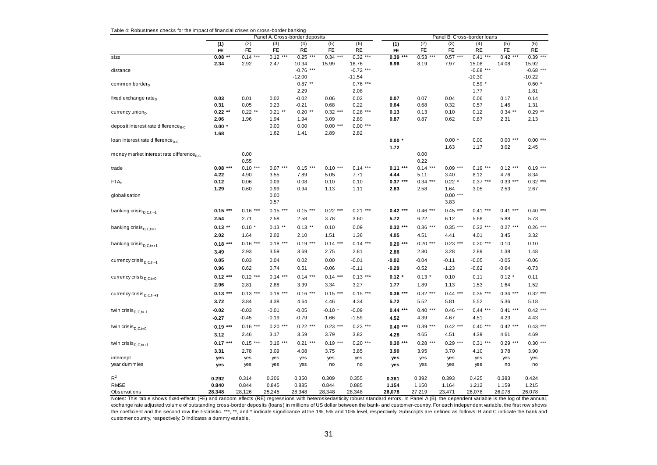Table 4: Robustness checks for the impact of financial crises on cross-border banking

|                                                               |                 |                           |                      | Panel A: Cross-border deposits   |                   |                                  | Panel B: Cross-border loans |                                 |                           |                                  |                   |                                  |
|---------------------------------------------------------------|-----------------|---------------------------|----------------------|----------------------------------|-------------------|----------------------------------|-----------------------------|---------------------------------|---------------------------|----------------------------------|-------------------|----------------------------------|
|                                                               | (1)             | (2)                       | (3)                  | (4)                              | (5)               | (6)                              | (1)                         | (2)                             | (3)                       | (4)                              | (5)               | (6)                              |
|                                                               | <b>FE</b>       | FE                        | FE                   | RE                               | FE                | RE                               | FE.                         | FE                              | FE                        | <b>RE</b>                        | FE                | RE                               |
| size                                                          | 0.08            | $0.14***$                 | ***<br>0.12          | 0.25<br>***                      | 0.34              | $0.32***$                        | $0.39***$                   | 0.53<br>***                     | 0.57<br>***               | 0.41<br>***                      | ***<br>0.42       | $0.39***$                        |
| distance                                                      | 2.34            | 2.92                      | 2.47                 | 10.34<br>$-0.76$ ***<br>$-12.00$ | 15.99             | 16.76<br>$-0.72$ ***<br>$-11.54$ | 6.96                        | 8.19                            | 7.97                      | 15.08<br>$-0.68$ ***<br>$-10.30$ | 14.08             | 15.92<br>$-0.68$ ***<br>$-10.22$ |
| common border <sub>p</sub>                                    |                 |                           |                      | $0.87$ **<br>2.29                |                   | $0.76$ ***<br>2.08               |                             |                                 |                           | $0.59*$<br>1.77                  |                   | $0.60*$<br>1.81                  |
| fixed exchange rate <sub>D</sub>                              | 0.03            | 0.01                      | 0.02                 | $-0.02$                          | 0.06              | 0.02                             | 0.07                        | 0.07                            | 0.04                      | 0.06                             | 0.17              | 0.14                             |
|                                                               | 0.31            | 0.05                      | 0.23                 | $-0.21$                          | 0.68              | 0.22                             | 0.64                        | 0.68                            | 0.32                      | 0.57                             | 1.46              | 1.31                             |
| currency union <sub>D</sub>                                   | $0.22**$        | $0.22$ **                 | $0.21$ **            | $0.20$ **                        | $0.32***$         | $0.28$ ***                       | 0.13                        | 0.13                            | 0.10                      | 0.12                             | $0.34$ **         | $0.29$ **                        |
|                                                               | 2.06            | 1.96                      | 1.94                 | 1.94                             | 3.09              | 2.89                             | 0.87                        | 0.87                            | 0.62                      | 0.87                             | 2.31              | 2.13                             |
| deposit interest rate difference <sub>B-C</sub>               | $0.00*$<br>1.68 |                           | 0.00<br>1.62         | 0.00<br>1.41                     | $0.00***$<br>2.89 | $0.00***$<br>2.82                |                             |                                 |                           |                                  |                   |                                  |
| loan interest rate difference $_{B.C.}$                       |                 |                           |                      |                                  |                   |                                  | $0.00*$<br>1.72             |                                 | $0.00*$<br>1.63           | 0.00<br>1.17                     | $0.00***$<br>3.02 | $0.00***$<br>2.45                |
| money market interest rate difference <sub>B-C</sub><br>trade | $0.08***$       | 0.00<br>0.55<br>$0.10***$ | 0.07<br>$***$        | $0.15***$                        | $0.10***$         | $0.14***$                        | $0.11***$                   | 0.00<br>0.22<br>$* * *$<br>0.14 | $0.09***$                 | $0.19***$                        | $0.12***$         | $0.19***$                        |
| FTA <sub>D</sub>                                              | 4.22            | 4.90                      | 3.55                 | 7.89                             | 5.05              | 7.71                             | 4.44                        | 5.11                            | 3.40                      | 8.12                             | 4.76              | 8.34                             |
|                                                               | 0.12            | 0.06                      | 0.09                 | 0.08                             | 0.10              | 0.10                             | $0.37***$                   | $0.34***$                       | $0.22$ *                  | $0.37***$                        | $0.33***$         | $0.32***$                        |
| globalisation                                                 | 1.29            | 0.60                      | 0.99<br>0.00<br>0.57 | 0.94                             | 1.13              | 1.11                             | 2.83                        | 2.58                            | 1.64<br>$0.00***$<br>3.83 | 3.05                             | 2.53              | 2.67                             |
| banking crisis $_{D,C,t=-1}$                                  | $0.15***$       | $0.16***$                 | $0.15***$            | $0.15***$                        | $0.22$ ***        | $0.21***$                        | $0.42***$                   | $0.46***$                       | $0.45$ ***                | $0.41***$                        | $0.41***$         | $0.40***$                        |
|                                                               | 2.54            | 2.71                      | 2.58                 | 2.58                             | 3.78              | 3.60                             | 5.72                        | 6.22                            | 6.12                      | 5.68                             | 5.88              | 5.73                             |
| banking crisis $_{D,C,t=0}$                                   | $0.13**$        | $0.10*$                   | $0.13$ **            | $0.13$ **                        | 0.10              | 0.09                             | $0.32***$                   | $0.36***$                       | $0.35$ ***                | $0.32***$                        | $0.27***$         | $0.26$ ***                       |
|                                                               | 2.02            | 1.64                      | 2.02                 | 2.10                             | 1.51              | 1.36                             | 4.05                        | 4.51                            | 4.41                      | 4.01                             | 3.45              | 3.32                             |
| banking crisis $_{D,C,t=+1}$                                  | $0.18***$       | $0.16$ ***                | $0.18***$            | $0.19***$                        | $0.14***$         | $0.14***$                        | $0.20***$                   | $0.20***$                       | $0.23$ ***                | $0.20***$                        | 0.10              | 0.10                             |
|                                                               | 3.49            | 2.93                      | 3.59                 | 3.69                             | 2.75              | 2.81                             | 2.86                        | 2.80                            | 3.28                      | 2.89                             | 1.38              | 1.48                             |
| currency crisis <sub>D,C,t=-1</sub>                           | 0.05            | 0.03                      | 0.04                 | 0.02                             | 0.00              | $-0.01$                          | -0.02                       | $-0.04$                         | $-0.11$                   | $-0.05$                          | $-0.05$           | $-0.06$                          |
|                                                               | 0.96            | 0.62                      | 0.74                 | 0.51                             | $-0.06$           | $-0.11$                          | -0.29                       | $-0.52$                         | $-1.23$                   | $-0.62$                          | $-0.64$           | $-0.73$                          |
| currency crisis $_{D,C,t=0}$                                  | $0.12***$       | $0.12***$                 | $0.14***$            | $0.14***$                        | $0.14***$         | $0.13***$                        | $0.12 *$                    | $0.13*$                         | 0.10                      | 0.11                             | $0.12*$           | 0.11                             |
|                                                               | 2.96            | 2.81                      | 2.88                 | 3.39                             | 3.34              | 3.27                             | 1.77                        | 1.89                            | 1.13                      | 1.53                             | 1.64              | 1.52                             |
| currency crisis $_{D,C,t=+1}$                                 | $0.13***$       | $0.13***$                 | $0.18***$            | $0.16***$                        | $0.15***$         | $0.15***$                        | $0.36***$                   | $0.32***$                       | $0.44$ ***                | $0.35***$                        | $0.34***$         | $0.32***$                        |
|                                                               | 3.72            | 3.84                      | 4.38                 | 4.64                             | 4.46              | 4.34                             | 5.72                        | 5.52                            | 5.81                      | 5.52                             | 5.36              | 5.18                             |
| twin crisis $_{D,C,t=-1}$                                     | -0.02           | $-0.03$                   | $-0.01$              | $-0.05$                          | $-0.10*$          | $-0.09$                          | $0.44***$                   | $0.40***$                       | $0.46$ ***                | $0.44***$                        | $0.41***$         | $0.42***$                        |
|                                                               | $-0.27$         | $-0.45$                   | $-0.19$              | $-0.79$                          | $-1.66$           | $-1.59$                          | 4.52                        | 4.39                            | 4.67                      | 4.51                             | 4.23              | 4.43                             |
| twin crisis $_{D,C,t=0}$                                      | $0.19***$       | $0.16***$                 | $0.20***$            | $0.22$ ***                       | $0.23***$         | $0.23$ ***                       | $0.40***$                   | $0.39***$                       | $0.42***$                 | $0.40***$                        | $0.42***$         | $0.43***$                        |
|                                                               | 3.12            | 2.46                      | 3.17                 | 3.59                             | 3.79              | 3.82                             | 4.28                        | 4.65                            | 4.51                      | 4.39                             | 4.61              | 4.69                             |
| twin crisis $_{D,C,t=+1}$                                     | $0.17***$       | $0.15***$                 | $0.16***$            | $0.21***$                        | $0.19***$         | $0.20***$                        | $0.30***$                   | $0.28$ ***                      | $0.29***$                 | $0.31***$                        | $0.29***$         | $0.30***$                        |
|                                                               | 3.31            | 2.78                      | 3.09                 | 4.08                             | 3.75              | 3.85                             | 3.90                        | 3.95                            | 3.70                      | 4.10                             | 3.78              | 3.90                             |
| intercept                                                     | yes             | yes                       | yes                  | yes                              | yes               | yes                              | yes                         | yes                             | yes                       | yes                              | yes               | yes                              |
| year dummies                                                  | yes             | yes                       | yes                  | yes                              | no                | no                               | yes                         | yes                             | yes                       | yes                              | no                | no                               |
| $R^2$                                                         | 0.292           | 0.314                     | 0.306                | 0.350                            | 0.309             | 0.355                            | 0.381                       | 0.392                           | 0.393                     | 0.425                            | 0.383             | 0.424                            |
| RMSE                                                          | 0.840           | 0.844                     | 0.845                | 0.885                            | 0.844             | 0.885                            | 1.154                       | 1.150                           | 1.164                     | 1.212                            | 1.159             | 1.215                            |
| Observations                                                  | 28,348          | 28,126                    | 25,245               | 28,348                           | 28,348            | 28,348                           | 26,078                      | 27,219                          | 23,471                    | 26,078                           | 26,078            | 26,078                           |

Observations 28,348 28,126 25,245 28,348 28,348 28,348 26,078 27,219 23,471 26,078 26,078 26,078 26,078<br>Notes: This table shows fixed-effects (FE) and random effects (RE) regressions with heteros exchange rate adjusted volume of outstanding cross-border deposits (loans) in millions of US dollar between the bank- and customer-country. For each independent variable, the first row showsthe coefficient and the second row the t-statistic. \*\*\*, \*\*, and \* indicate significance at the 1%, 5% and 10% level, respectively. Subscripts are defined as follows: B and C indicate the bank and customer country, respectively; D indicates a dummy variable.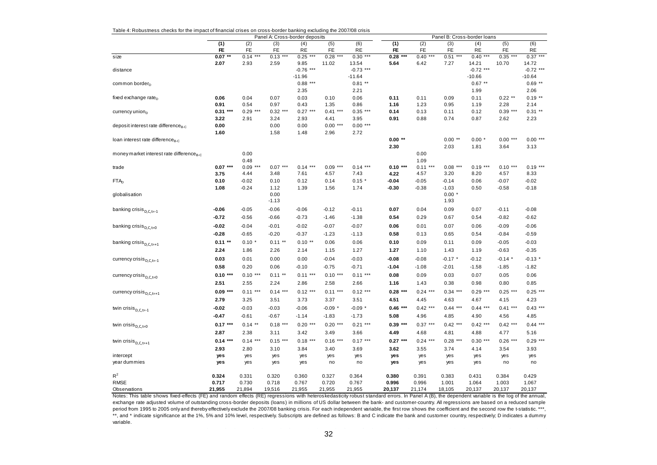Table 4: Robustness checks for the impact of financial crises on cross-border banking excluding the 2007/08 crisis

|                                                                                                                                                                                                 |                   |              |                   | Panel A: Cross-border deposits |              |                       |              |               |              | Panel B: Cross-border loans |                   |                       |
|-------------------------------------------------------------------------------------------------------------------------------------------------------------------------------------------------|-------------------|--------------|-------------------|--------------------------------|--------------|-----------------------|--------------|---------------|--------------|-----------------------------|-------------------|-----------------------|
|                                                                                                                                                                                                 | (1)               | (2)          | (3)               | (4)                            | (5)          | (6)                   | (1)          | (2)           | (3)          | (4)                         | (5)               | (6)                   |
|                                                                                                                                                                                                 | FE.               | FE           | <b>FE</b>         | <b>RE</b>                      | FE           | <b>RE</b>             | FE.          | FE            | FE           | <b>RE</b>                   | FE                | <b>RE</b>             |
| size                                                                                                                                                                                            | 0.07              | 0.14         | 0.13<br>***       | 0.25                           | 0.28         | $0.30***$             | $0.28***$    | 0.40          | 0.51<br>***  | 0.40                        | 0.35              | $0.37***$             |
|                                                                                                                                                                                                 | 2.07              | 2.93         | 2.59              | 9.85                           | 11.02        | 13.54                 | 5.64         | 6.42          | 7.27         | 14.21                       | 10.70             | 14.72                 |
| distance                                                                                                                                                                                        |                   |              |                   | $-0.76$ ***                    |              | $-0.73$ ***           |              |               |              | $-0.72$ ***                 |                   | $-0.72$ ***           |
|                                                                                                                                                                                                 |                   |              |                   | $-11.96$<br>$0.88***$          |              | $-11.64$<br>$0.81***$ |              |               |              | $-10.66$<br>$0.67$ **       |                   | $-10.64$<br>$0.69$ ** |
| common border <sub>n</sub>                                                                                                                                                                      |                   |              |                   |                                |              | 2.21                  |              |               |              |                             |                   | 2.06                  |
|                                                                                                                                                                                                 |                   |              |                   | 2.35                           |              |                       |              |               |              | 1.99                        |                   |                       |
| fixed exchange rate <sub>D</sub>                                                                                                                                                                | 0.06<br>0.91      | 0.04<br>0.54 | 0.07              | 0.03<br>0.43                   | 0.10<br>1.35 | 0.06                  | 0.11         | 0.11          | 0.09         | 0.11                        | $0.22$ **         | $0.19**$              |
|                                                                                                                                                                                                 |                   | $0.29***$    | 0.97<br>$0.32***$ | $0.27***$                      | $0.41***$    | 0.86<br>$0.35***$     | 1.16         | 1.23          | 0.95         | 1.19                        | 2.28<br>$0.39***$ | 2.14<br>$0.31***$     |
| currency union <sub>p</sub>                                                                                                                                                                     | $0.31***$<br>3.22 | 2.91         | 3.24              | 2.93                           | 4.41         | 3.95                  | 0.14<br>0.91 | 0.13<br>0.88  | 0.11<br>0.74 | 0.12<br>0.87                | 2.62              | 2.23                  |
|                                                                                                                                                                                                 | 0.00              |              | 0.00              | 0.00                           | $0.00***$    | $0.00***$             |              |               |              |                             |                   |                       |
| deposit interest rate difference <sub>B-C</sub>                                                                                                                                                 |                   |              |                   |                                | 2.96         |                       |              |               |              |                             |                   |                       |
| loan interest rate difference <sub>B-C</sub>                                                                                                                                                    | 1.60              |              | 1.58              | 1.48                           |              | 2.72                  | $0.00**$     |               | $0.00**$     | $0.00*$                     | $0.00***$         | $0.00***$             |
|                                                                                                                                                                                                 |                   |              |                   |                                |              |                       | 2.30         |               | 2.03         | 1.81                        | 3.64              | 3.13                  |
| money market interest rate difference <sub>B-C</sub>                                                                                                                                            |                   | 0.00         |                   |                                |              |                       |              | 0.00          |              |                             |                   |                       |
|                                                                                                                                                                                                 |                   | 0.48         |                   |                                |              |                       |              | 1.09          |              |                             |                   |                       |
| trade                                                                                                                                                                                           | $0.07***$         | $0.09***$    | $0.07***$         | $0.14***$                      | $0.09***$    | $0.14***$             | $0.10***$    | 0.11<br>$***$ | $0.08***$    | $0.19***$                   | $0.10***$         | $0.19***$             |
|                                                                                                                                                                                                 | 3.75              | 4.44         | 3.48              | 7.61                           | 4.57         | 7.43                  | 4.22         | 4.57          | 3.20         | 8.20                        | 4.57              | 8.33                  |
| ${\sf FTA}_{\sf D}$                                                                                                                                                                             | 0.10              | $-0.02$      | 0.10              | 0.12                           | 0.14         | $0.15*$               | -0.04        | $-0.05$       | $-0.14$      | 0.06                        | $-0.07$           | $-0.02$               |
|                                                                                                                                                                                                 | 1.08              | $-0.24$      | 1.12              | 1.39                           | 1.56         | 1.74                  | $-0.30$      | $-0.38$       | $-1.03$      | 0.50                        | $-0.58$           | $-0.18$               |
| globalisation                                                                                                                                                                                   |                   |              | 0.00              |                                |              |                       |              |               | $0.00*$      |                             |                   |                       |
|                                                                                                                                                                                                 |                   |              | $-1.13$           |                                |              |                       |              |               | 1.93         |                             |                   |                       |
| banking crisis $_{D,C,t=-1}$                                                                                                                                                                    | $-0.06$           | $-0.05$      | $-0.06$           | $-0.06$                        | $-0.12$      | $-0.11$               | 0.07         | 0.04          | 0.09         | 0.07                        | $-0.11$           | $-0.08$               |
|                                                                                                                                                                                                 | -0.72             | $-0.56$      | $-0.66$           | $-0.73$                        | $-1.46$      | $-1.38$               | 0.54         | 0.29          | 0.67         | 0.54                        | $-0.82$           | $-0.62$               |
|                                                                                                                                                                                                 |                   | $-0.04$      | $-0.01$           | $-0.02$                        | $-0.07$      | $-0.07$               |              | 0.01          | 0.07         | 0.06                        | $-0.09$           | $-0.06$               |
| banking crisis $_{D,C,t=0}$                                                                                                                                                                     | $-0.02$           |              |                   |                                |              |                       | 0.06         |               |              |                             |                   |                       |
|                                                                                                                                                                                                 | $-0.28$           | $-0.65$      | $-0.20$           | $-0.37$                        | $-1.23$      | $-1.13$               | 0.58         | 0.13          | 0.65         | 0.54                        | $-0.84$           | $-0.59$               |
| banking crisis $_{D,C,t=+1}$                                                                                                                                                                    | $0.11**$          | $0.10*$      | $0.11**$          | $0.10**$                       | 0.06         | 0.06                  | 0.10         | 0.09          | 0.11         | 0.09                        | $-0.05$           | $-0.03$               |
|                                                                                                                                                                                                 | 2.24              | 1.86         | 2.26              | 2.14                           | 1.15         | 1.27                  | 1.27         | 1.10          | 1.43         | 1.19                        | $-0.63$           | $-0.35$               |
| currency crisis $_{D,C,t=-1}$                                                                                                                                                                   | 0.03              | 0.01         | 0.00              | 0.00                           | $-0.04$      | $-0.03$               | $-0.08$      | $-0.08$       | $-0.17$ *    | $-0.12$                     | $-0.14$ *         | $-0.13$ *             |
|                                                                                                                                                                                                 | 0.58              | 0.20         | 0.06              | $-0.10$                        | $-0.75$      | $-0.71$               | $-1.04$      | $-1.08$       | $-2.01$      | $-1.58$                     | $-1.85$           | $-1.82$               |
| currency crisis $_{D,C,t=0}$                                                                                                                                                                    | $0.10***$         | $0.10***$    | $0.11**$          | $0.11***$                      | $0.10***$    | $0.11***$             | 0.08         | 0.09          | 0.03         | 0.07                        | 0.05              | 0.06                  |
|                                                                                                                                                                                                 | 2.51              | 2.55         | 2.24              | 2.86                           | 2.58         | 2.66                  | 1.16         | 1.43          | 0.38         | 0.98                        | 0.80              | 0.85                  |
|                                                                                                                                                                                                 | $0.09***$         | $0.11***$    | $0.14***$         | $0.12***$                      | $0.11***$    | $0.12***$             | $0.28$ ***   | $0.24***$     | $0.34***$    | $0.29***$                   | $0.25***$         | $0.25***$             |
| currency crisis $_{D,C,t=+1}$                                                                                                                                                                   |                   |              |                   |                                |              |                       |              |               |              |                             |                   |                       |
|                                                                                                                                                                                                 | 2.79              | 3.25         | 3.51              | 3.73                           | 3.37         | 3.51                  | 4.51         | 4.45          | 4.63         | 4.67                        | 4.15              | 4.23                  |
| twin crisis $_{D,C,t=-1}$                                                                                                                                                                       | -0.02             | $-0.03$      | $-0.03$           | $-0.06$                        | $-0.09*$     | $-0.09*$              | $0.46***$    | $0.42$ ***    | $0.44***$    | $0.44***$                   | $0.41***$         | $0.43***$             |
|                                                                                                                                                                                                 | -0.47             | $-0.61$      | $-0.67$           | $-1.14$                        | $-1.83$      | $-1.73$               | 5.08         | 4.96          | 4.85         | 4.90                        | 4.56              | 4.85                  |
| twin crisis $_{D,C,t=0}$                                                                                                                                                                        | $0.17***$         | $0.14***$    | $0.18***$         | $0.20***$                      | $0.20***$    | $0.21***$             | $0.39***$    | $0.37***$     | $0.42$ ***   | $0.42***$                   | $0.42$ ***        | $0.44***$             |
|                                                                                                                                                                                                 | 2.87              | 2.38         | 3.11              | 3.42                           | 3.49         | 3.66                  | 4.49         | 4.68          | 4.81         | 4.88                        | 4.77              | 5.16                  |
| twin crisis $_{D,C,t=+1}$                                                                                                                                                                       | $0.14***$         | $0.14***$    | $0.15***$         | $0.18***$                      | $0.16***$    | $0.17***$             | $0.27***$    | $0.24***$     | $0.28$ ***   | $0.30***$                   | $0.26$ ***        | $0.29***$             |
|                                                                                                                                                                                                 | 2.93              | 2.80         | 3.10              | 3.84                           | 3.40         | 3.69                  | 3.62         | 3.55          | 3.74         | 4.14                        | 3.54              | 3.93                  |
| intercept                                                                                                                                                                                       | yes               | yes          | yes               | yes                            | yes          | yes                   | yes          | yes           | yes          | yes                         | yes               | yes                   |
| year dummies                                                                                                                                                                                    | yes               | yes          | yes               | yes                            | no           | no                    | yes          | yes           | yes          | yes                         | no                | no                    |
|                                                                                                                                                                                                 |                   |              |                   |                                |              |                       |              |               |              |                             |                   |                       |
| $R^2$                                                                                                                                                                                           | 0.324             | 0.331        | 0.320             | 0.360                          | 0.327        | 0.364                 | 0.380        | 0.391         | 0.383        | 0.431                       | 0.384             | 0.429                 |
| <b>RMSE</b>                                                                                                                                                                                     | 0.717             | 0.730        | 0.718             | 0.767                          | 0.720        | 0.767                 | 0.996        | 0.996         | 1.001        | 1.064                       | 1.003             | 1.067                 |
| Observations                                                                                                                                                                                    | 21,955            | 21,894       | 19,516            | 21,955                         | 21,955       | 21,955                | 20,137       | 21,174        | 18,105       | 20,137                      | 20,137            | 20,137                |
| Notes: This table shows fixed-effects (FE) and random effects (RE) regressions with heteroskedasticity robust standard errors. In Panel A (B), the dependent variable is the log of the annual, |                   |              |                   |                                |              |                       |              |               |              |                             |                   |                       |

exchange rate adjusted volume of outstanding cross-border deposits (loans) in millions of US dollar between the bank- and customer-country. All regressions are based on <sup>a</sup> reduced sample period from 1995 to 2005 only and thereby effectively exclude the 2007/08 banking crisis. For each independent variable, the first row shows the coefficient and the second row the t-statistic. \*\*\*, \*\*, and \* indicate significance at the 1%, 5% and 10% level, respectively. Subscripts are defined as follows: B and C indicate the bank and customer country, respectively; D indicates a dummy variable.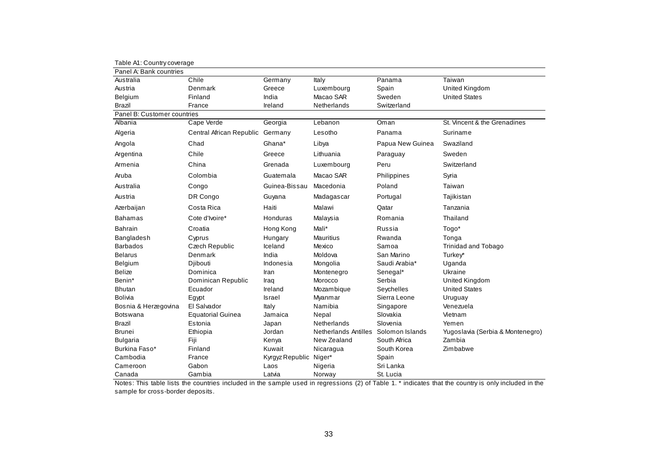| Table A1: Country coverage  |                                  |                 |                                      |                  |                                  |
|-----------------------------|----------------------------------|-----------------|--------------------------------------|------------------|----------------------------------|
| Panel A: Bank countries     |                                  |                 |                                      |                  |                                  |
| Australia                   | Chile                            | Germany         | Italy                                | Panama           | Taiwan                           |
| Austria                     | Denmark                          | Greece          | Luxembourg                           | Spain            | United Kingdom                   |
| Belgium                     | Finland                          | India           | Macao SAR                            | Sweden           | <b>United States</b>             |
| <b>Brazil</b>               | France                           | Ireland         | Netherlands                          | Switzerland      |                                  |
| Panel B: Customer countries |                                  |                 |                                      |                  |                                  |
| Albania                     | Cape Verde                       | Georgia         | Lebanon                              | Oman             | St. Vincent & the Grenadines     |
| Algeria                     | Central African Republic Germany |                 | Lesotho                              | Panama           | Suriname                         |
| Angola                      | Chad                             | Ghana*          | Libya                                | Papua New Guinea | Swaziland                        |
| Argentina                   | Chile                            | Greece          | Lithuania                            | Paraguay         | Sweden                           |
| Armenia                     | China                            | Grenada         | Luxembourg                           | Peru             | Switzerland                      |
| Aruba                       | Colombia                         | Guatemala       | Macao SAR                            | Philippines      | Syria                            |
| Australia                   | Congo                            | Guinea-Bissau   | Macedonia                            | Poland           | Taiwan                           |
| Austria                     | DR Congo                         | Guyana          | Madagascar                           | Portugal         | Tajikistan                       |
| Azerbaijan                  | Costa Rica                       | Haiti           | Malawi                               | Qatar            | Tanzania                         |
| <b>Bahamas</b>              | Cote d'Ivoire*                   | Honduras        | Malaysia                             | Romania          | Thailand                         |
| <b>Bahrain</b>              | Croatia                          | Hong Kong       | Mali*                                | Russia           | Togo*                            |
| Bangladesh                  | Cyprus                           | Hungary         | <b>Mauritius</b>                     | Rwanda           | Tonga                            |
| <b>Barbados</b>             | Czech Republic                   | Iceland         | Mexico                               | Samoa            | Trinidad and Tobago              |
| <b>Belarus</b>              | Denmark                          | India           | Moldova                              | San Marino       | Turkey*                          |
| Belgium                     | Djibouti                         | Indonesia       | Mongolia                             | Saudi Arabia*    | Uganda                           |
| Belize                      | Dominica                         | Iran            | Montenegro                           | Senegal*         | Ukraine                          |
| Benin*                      | Dominican Republic               | Iraq            | Morocco                              | Serbia           | United Kingdom                   |
| <b>Bhutan</b>               | Ecuador                          | Ireland         | Mozambique                           | Seychelles       | <b>United States</b>             |
| Bolivia                     | Egypt                            | <b>Israel</b>   | Myanmar                              | Sierra Leone     | Uruguay                          |
| Bosnia & Herzegovina        | El Salvador                      | Italy           | Namibia                              | Singapore        | Venezuela                        |
| <b>Botswana</b>             | <b>Equatorial Guinea</b>         | Jamaica         | Nepal                                | Slovakia         | Vietnam                          |
| <b>Brazil</b>               | Estonia                          | Japan           | Netherlands                          | Slovenia         | Yemen                            |
| <b>Brunei</b>               | Ethiopia                         | Jordan          | Netherlands Antilles Solomon Islands |                  | Yugoslavia (Serbia & Montenegro) |
| <b>Bulgaria</b>             | Fiji                             | Kenya           | New Zealand                          | South Africa     | Zambia                           |
| Burkina Faso*               | Finland                          | Kuwait          | Nicaragua                            | South Korea      | Zimbabwe                         |
| Cambodia                    | France                           | Kyrgyz Republic | Niger*                               | Spain            |                                  |
| Cameroon                    | Gabon                            | Laos            | Nigeria                              | Sri Lanka        |                                  |
| Canada                      | Gambia                           | Latvia          | Norway                               | St. Lucia        |                                  |

Canada Gambia Latvia Norway St. Lucia Notes: This table lists the countries included in the sample used in regressions (2) of Table 1. \* indicates that the country is only included in the sample for cross-border deposits.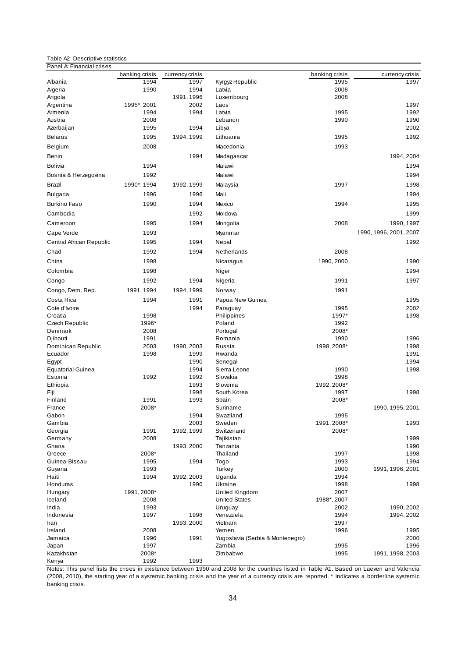| Table A2: Descriptive statistics |
|----------------------------------|
|----------------------------------|

| Panel A: Financial crises         |                        |                         |                                        |                     |                        |
|-----------------------------------|------------------------|-------------------------|----------------------------------------|---------------------|------------------------|
|                                   | banking crisis<br>1994 | currency crisis<br>1997 |                                        | banking crisis      | currency crisis        |
| Albania<br>Algeria                | 1990                   | 1994                    | Kyrgyz Republic<br>Latvia              | 1995<br>2008        | 1997                   |
| Angola                            |                        | 1991, 1996              | Luxembourg                             | 2008                |                        |
| Argentina                         | 1995*, 2001            | 2002                    | Laos                                   |                     | 1997                   |
| Armenia                           | 1994                   | 1994                    | Latvia                                 | 1995                | 1992                   |
| Austria                           | 2008                   |                         | Lebanon                                | 1990                | 1990                   |
| Azerbaijan                        | 1995                   | 1994                    | Libya                                  |                     | 2002                   |
| <b>Belarus</b>                    | 1995                   | 1994, 1999              | Lithuania                              | 1995                | 1992                   |
| Belgium                           | 2008                   |                         | Macedonia                              | 1993                |                        |
| Benin                             |                        | 1994                    | Madagascar                             |                     | 1994, 2004             |
| <b>Bolivia</b>                    | 1994                   |                         | Malawi                                 |                     | 1994                   |
| Bosnia & Herzegovina              | 1992                   |                         | Malawi                                 |                     | 1994                   |
| Brazil                            | 1990*, 1994            | 1992, 1999              | Malaysia                               | 1997                | 1998                   |
| Bulgaria                          | 1996                   | 1996                    | Mali                                   |                     | 1994                   |
| <b>Burkino Faso</b>               | 1990                   | 1994                    | Mexico                                 | 1994                | 1995                   |
| Cambodia                          |                        | 1992                    | Moldova                                |                     | 1999                   |
| Cameroon                          | 1995                   | 1994                    | Mongolia                               | 2008                | 1990, 1997             |
| Cape Verde                        | 1993                   |                         | Myanmar                                |                     | 1990, 1996, 2001, 2007 |
| Central African Republic          | 1995                   | 1994                    | Nepal                                  |                     | 1992                   |
| Chad                              | 1992                   | 1994                    | Netherlands                            | 2008                |                        |
| China                             | 1998                   |                         | Nicaragua                              | 1990, 2000          | 1990                   |
| Colombia                          | 1998                   |                         | Niger                                  |                     | 1994                   |
| Congo                             | 1992                   | 1994                    | Nigeria                                | 1991                | 1997                   |
| Congo, Dem. Rep.                  | 1991, 1994             | 1994, 1999              | Norway                                 | 1991                |                        |
| Costa Rica                        | 1994                   | 1991                    | Papua New Guinea                       |                     | 1995                   |
| Cote d'Ivoire                     |                        | 1994                    | Paraguay                               | 1995                | 2002                   |
| Croatia                           | 1998                   |                         | Philippines                            | 1997*               | 1998                   |
| Czech Republic                    | 1996*                  |                         | Poland                                 | 1992                |                        |
| Denmark                           | 2008                   |                         | Portugal                               | 2008*               |                        |
| Djibouti                          | 1991                   |                         | Romania                                | 1990                | 1996                   |
| Dominican Republic                | 2003                   | 1990, 2003              | Russia                                 | 1998, 2008*         | 1998                   |
| Ecuador                           | 1998                   | 1999                    | Rwanda                                 |                     | 1991                   |
| Egypt<br><b>Equatorial Guinea</b> |                        | 1990<br>1994            | Senegal<br>Sierra Leone                | 1990                | 1994<br>1998           |
| Estonia                           | 1992                   | 1992                    | Slovakia                               | 1998                |                        |
| Ethiopia                          |                        | 1993                    | Slovenia                               | 1992, 2008*         |                        |
| Fiji                              |                        | 1998                    | South Korea                            | 1997                | 1998                   |
| Finland                           | 1991                   | 1993                    | Spain                                  | 2008*               |                        |
| France                            | 2008*                  |                         | Suriname                               |                     | 1990, 1995, 2001       |
| Gabon                             |                        | 1994                    | Swaziland                              | 1995                |                        |
| Gambia                            |                        | 2003                    | Sweden                                 | 1991, 2008*         | 1993                   |
| Georgia                           | 1991                   | 1992, 1999              | Switzerland                            | 2008*               |                        |
| Germany                           | 2008                   |                         | Tajikistan                             |                     | 1999                   |
| Ghana                             |                        | 1993, 2000              | Tanzania                               |                     | 1990                   |
| Greece                            | 2008*                  |                         | Thailand                               | 1997                | 1998                   |
| Guinea-Bissau                     | 1995                   | 1994                    | Togo                                   | 1993                | 1994                   |
| Guyana                            | 1993                   |                         | Turkey                                 | 2000                | 1991, 1996, 2001       |
| Haiti                             | 1994                   | 1992, 2003              | Uganda                                 | 1994                |                        |
| Honduras                          |                        | 1990                    | Ukraine                                | 1998                | 1998                   |
| Hungary<br>Iceland                | 1991, 2008*<br>2008    |                         | United Kingdom<br><b>United States</b> | 2007<br>1988*, 2007 |                        |
| India                             | 1993                   |                         | Uruguay                                | 2002                | 1990, 2002             |
| Indonesia                         | 1997                   | 1998                    | Venezuela                              | 1994                | 1994, 2002             |
| Iran                              |                        | 1993, 2000              | Vietnam                                | 1997                |                        |
| Ireland                           | 2008                   |                         | Yemen                                  | 1996                | 1995                   |
| Jamaica                           | 1996                   | 1991                    | Yugoslavia (Serbia & Montenegro)       |                     | 2000                   |
| Japan                             | 1997                   |                         | Zambia                                 | 1995                | 1996                   |
| Kazakhstan                        | 2008*                  |                         | Zimbabwe                               | 1995                | 1991, 1998, 2003       |
| Kenya                             | 1992                   | 1993                    |                                        |                     |                        |

Notes: This panel lists the crises in existence between 1990 and 2008 for the countries listed in Table A1. Based on Laeven and Valencia (2008, 2010), the starting year of a systemic banking crisis and the year of a currency crisis are reported. \* indicates a borderline systemic banking crisis.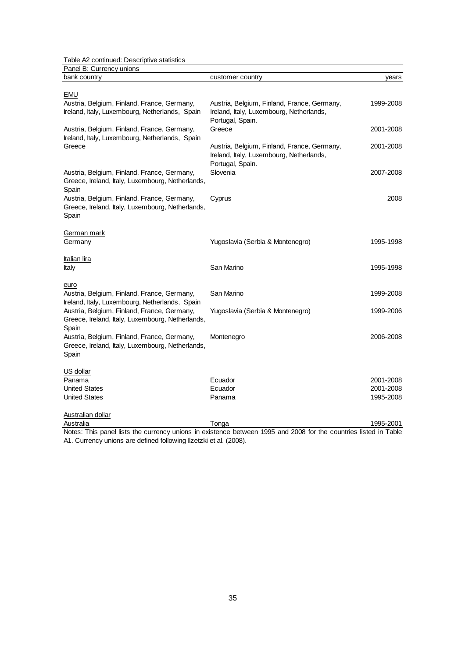Table A2 continued: Descriptive statistics

| Panel B: Currency unions                         |                                             |           |
|--------------------------------------------------|---------------------------------------------|-----------|
| bank country                                     | customer country                            | years     |
|                                                  |                                             |           |
| EMU                                              |                                             |           |
| Austria, Belgium, Finland, France, Germany,      | Austria, Belgium, Finland, France, Germany, | 1999-2008 |
| Ireland, Italy, Luxembourg, Netherlands, Spain   | Ireland, Italy, Luxembourg, Netherlands,    |           |
|                                                  | Portugal, Spain.                            |           |
| Austria, Belgium, Finland, France, Germany,      | Greece                                      | 2001-2008 |
| Ireland, Italy, Luxembourg, Netherlands, Spain   |                                             |           |
| Greece                                           | Austria, Belgium, Finland, France, Germany, | 2001-2008 |
|                                                  | Ireland, Italy, Luxembourg, Netherlands,    |           |
|                                                  | Portugal, Spain.                            |           |
| Austria, Belgium, Finland, France, Germany,      | Slovenia                                    | 2007-2008 |
| Greece, Ireland, Italy, Luxembourg, Netherlands, |                                             |           |
| Spain                                            |                                             |           |
| Austria, Belgium, Finland, France, Germany,      | Cyprus                                      | 2008      |
| Greece, Ireland, Italy, Luxembourg, Netherlands, |                                             |           |
| Spain                                            |                                             |           |
| German mark                                      |                                             |           |
| Germany                                          | Yugoslavia (Serbia & Montenegro)            | 1995-1998 |
|                                                  |                                             |           |
| Italian lira                                     |                                             |           |
| Italy                                            | San Marino                                  | 1995-1998 |
|                                                  |                                             |           |
| euro                                             |                                             |           |
| Austria, Belgium, Finland, France, Germany,      | San Marino                                  | 1999-2008 |
| Ireland, Italy, Luxembourg, Netherlands, Spain   |                                             |           |
| Austria, Belgium, Finland, France, Germany,      | Yugoslavia (Serbia & Montenegro)            | 1999-2006 |
| Greece, Ireland, Italy, Luxembourg, Netherlands, |                                             |           |
| Spain                                            |                                             |           |
| Austria, Belgium, Finland, France, Germany,      | Montenegro                                  | 2006-2008 |
| Greece, Ireland, Italy, Luxembourg, Netherlands, |                                             |           |
| Spain                                            |                                             |           |
| US dollar                                        |                                             |           |
| Panama                                           | Ecuador                                     | 2001-2008 |
| <b>United States</b>                             | Ecuador                                     | 2001-2008 |
| <b>United States</b>                             | Panama                                      | 1995-2008 |
|                                                  |                                             |           |
| Australian dollar                                |                                             |           |
| Australia                                        | Tonga                                       | 1995-2001 |

Notes: This panel lists the currency unions in existence between 1995 and 2008 for the countries listed in Table A1. Currency unions are defined following Ilzetzki et al. (2008).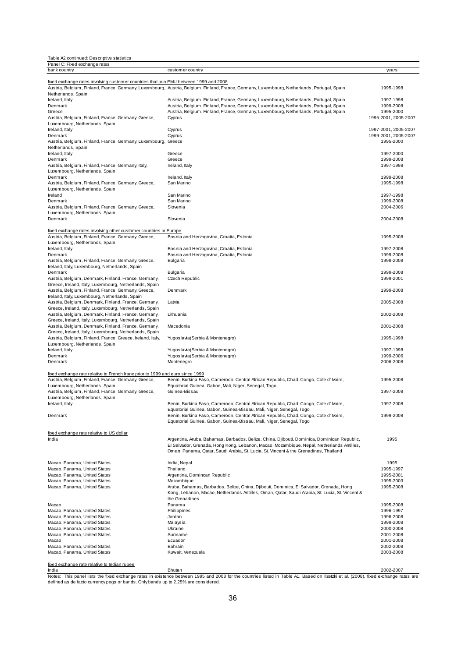| Table A2 continued: Descriptive statistics                                                                     |                                                                                                                                              |                        |
|----------------------------------------------------------------------------------------------------------------|----------------------------------------------------------------------------------------------------------------------------------------------|------------------------|
| Panel C: Fixed exchange rates                                                                                  |                                                                                                                                              |                        |
| bank country                                                                                                   | customer country                                                                                                                             | years                  |
| fixed exchange rates involving customer countries that join EMU between 1999 and 2008                          |                                                                                                                                              |                        |
| Netherlands, Spain                                                                                             | Austria, Belgium, Finland, France, Germany, Luxembourg, Austria, Belgium, Finland, France, Germany, Luxembourg, Netherlands, Portugal, Spain | 1995-1998              |
| Ireland, Italy                                                                                                 | Austria, Belgium, Finland, France, Germany, Luxembourg, Netherlands, Portugal, Spain                                                         | 1997-1998              |
| Denmark                                                                                                        | Austria, Belgium, Finland, France, Germany, Luxembourg, Netherlands, Portugal, Spain                                                         | 1999-2008              |
| Greece                                                                                                         | Austria, Belgium, Finland, France, Germany, Luxembourg, Netherlands, Portugal, Spain                                                         | 1995-2000              |
| Austria, Belgium, Finland, France, Germany, Greece,<br>Luxembourg, Netherlands, Spain                          | Cyprus                                                                                                                                       | 1995-2001, 2005-2007   |
| Ireland, Italy                                                                                                 | Cyprus                                                                                                                                       | 1997-2001, 2005-2007   |
| Denmark                                                                                                        | Cyprus                                                                                                                                       | 1999-2001, 2005-2007   |
| Austria, Belgium, Finland, France, Germany, Luxembourg, Greece<br>Netherlands, Spain                           |                                                                                                                                              | 1995-2000              |
| Ireland, Italy                                                                                                 | Greece                                                                                                                                       | 1997-2000              |
| Denmark                                                                                                        | Greece                                                                                                                                       | 1999-2008              |
| Austria, Belgium, Finland, France, Germany, Italy,<br>Luxembourg, Netherlands, Spain                           | Ireland, Italy                                                                                                                               | 1997-1998              |
| Denmark                                                                                                        | Ireland, Italy                                                                                                                               | 1999-2008              |
| Austria, Belgium, Finland, France, Germany, Greece,<br>Luxembourg, Netherlands, Spain                          | San Marino                                                                                                                                   | 1995-1998              |
| Ireland                                                                                                        | San Marino                                                                                                                                   | 1997-1998              |
| Denmark                                                                                                        | San Marino                                                                                                                                   | 1999-2008              |
| Austria, Belgium, Finland, France, Germany, Greece,                                                            | Slovenia                                                                                                                                     | 2004-2006              |
| Luxembourg, Netherlands, Spain                                                                                 |                                                                                                                                              |                        |
| Denmark                                                                                                        | Slovenia                                                                                                                                     | 2004-2008              |
| fixed exchange rates involving other customer countries in Europe                                              |                                                                                                                                              |                        |
| Austria, Belgium, Finland, France, Germany, Greece,                                                            | Bosnia and Herzogovina, Croatia, Estonia                                                                                                     | 1995-2008              |
| Luxembourg, Netherlands, Spain                                                                                 |                                                                                                                                              |                        |
| Ireland, Italy<br>Denmark                                                                                      | Bosnia and Herzogovina, Croatia, Estonia<br>Bosnia and Herzogovina, Croatia, Estonia                                                         | 1997-2008<br>1999-2008 |
| Austria, Belgium, Finland, France, Germany, Greece,                                                            | Bulgaria                                                                                                                                     | 1998-2008              |
| Ireland, Italy, Luxembourg, Netherlands, Spain                                                                 |                                                                                                                                              |                        |
| Denmark                                                                                                        | Bulgaria                                                                                                                                     | 1999-2008              |
| Austria, Belgium, Denmark, Finland, France, Germany,                                                           | Czech Republic                                                                                                                               | 1999-2001              |
| Greece, Ireland, Italy, Luxembourg, Netherlands, Spain<br>Austria, Belgium, Finland, France, Germany, Greece,  | Denmark                                                                                                                                      | 1999-2008              |
| Ireland, Italy, Luxembourg, Netherlands, Spain                                                                 |                                                                                                                                              |                        |
| Austria, Belgium, Denmark, Finland, France, Germany,                                                           | Latvia                                                                                                                                       | 2005-2008              |
| Greece, Ireland, Italy, Luxembourg, Netherlands, Spain                                                         |                                                                                                                                              |                        |
| Austria, Belgium, Denmark, Finland, France, Germany,                                                           | Lithuania                                                                                                                                    | 2002-2008              |
| Greece, Ireland, Italy, Luxembourg, Netherlands, Spain<br>Austria, Belgium, Denmark, Finland, France, Germany, | Macedonia                                                                                                                                    | 2001-2008              |
| Greece, Ireland, Italy, Luxembourg, Netherlands, Spain                                                         |                                                                                                                                              |                        |
| Austria, Belgium, Finland, France, Greece, Ireland, Italy,                                                     | Yugoslavia (Serbia & Montenegro)                                                                                                             | 1995-1998              |
| Luxembourg, Netherlands, Spain                                                                                 |                                                                                                                                              |                        |
| Ireland, Italy                                                                                                 | Yugoslavia (Serbia & Montenegro)                                                                                                             | 1997-1998              |
| Denmark<br>Denmark                                                                                             | Yugoslavia (Serbia & Montenegro)<br>Montenegro                                                                                               | 1999-2006<br>2006-2008 |
|                                                                                                                |                                                                                                                                              |                        |
| fixed exchange rate relative to French franc prior to 1999 and euro since 1999                                 |                                                                                                                                              |                        |
| Austria, Belgium, Finland, France, Germany, Greece,                                                            | Benin, Burkina Faso, Cameroon, Central African Republic, Chad, Congo, Cote d'Ivoire,                                                         | 1995-2008              |
| Luxembourg, Netherlands, Spain                                                                                 | Equatorial Guinea, Gabon, Mali, Niger, Senegal, Togo                                                                                         |                        |
| Austria, Belgium, Finland, France, Germany, Greece,<br>Luxembourg, Netherlands, Spain                          | Guinea-Bissau                                                                                                                                | 1997-2008              |
| Ireland, Italy                                                                                                 | Benin, Burkina Faso, Cameroon, Central African Republic, Chad, Congo, Cote d' Ivoire,                                                        | 1997-2008              |
|                                                                                                                | Equatorial Guinea, Gabon, Guinea-Bissau, Mali, Niger, Senegal, Togo                                                                          |                        |
| Denmark                                                                                                        | Benin, Burkina Faso, Cameroon, Central African Republic, Chad, Congo, Cote d'Ivoire,                                                         | 1999-2008              |
|                                                                                                                | Equatorial Guinea, Gabon, Guinea-Bissau, Mali, Niger, Senegal, Togo                                                                          |                        |
| fixed exchange rate relative to US dollar                                                                      |                                                                                                                                              |                        |
| India                                                                                                          | Argentina, Aruba, Bahamas, Barbados, Belize, China, Djibouti, Dominica, Dominican Republic,                                                  | 1995                   |
|                                                                                                                | El Salvador, Grenada, Hong Kong, Lebanon, Macao, Mozambique, Nepal, Netherlands Antilles,                                                    |                        |
|                                                                                                                | Oman, Panama, Qatar, Saudi Arabia, St. Lucia, St. Vincent & the Grenadines, Thailand                                                         |                        |
|                                                                                                                |                                                                                                                                              |                        |
| Macao, Panama, United States                                                                                   | India, Nepal                                                                                                                                 | 1995                   |
| Macao, Panama, United States<br>Macao, Panama, United States                                                   | Thailand<br>Argentina, Domincan Republic                                                                                                     | 1995-1997<br>1995-2001 |
| Macao, Panama, United States                                                                                   | Mozambique                                                                                                                                   | 1995-2003              |
| Macao, Panama, United States                                                                                   | Aruba, Bahamas, Barbados, Belize, China, Djibouti, Dominica, El Salvador, Grenada, Hong                                                      | 1995-2008              |
|                                                                                                                | Kong, Lebanon, Macao, Netherlands Antilles, Oman, Qatar, Saudi Arabia, St. Lucia, St. Vincent &<br>the Grenadines                            |                        |
| Macao                                                                                                          | Panama                                                                                                                                       | 1995-2008              |
| Macao, Panama, United States                                                                                   | Philippines                                                                                                                                  | 1996-1997              |
| Macao, Panama, United States                                                                                   | Jordan                                                                                                                                       | 1996-2008              |
| Macao, Panama, United States                                                                                   | Malaysia                                                                                                                                     | 1999-2008              |
| Macao, Panama, United States                                                                                   | Ukraine                                                                                                                                      | 2000-2008              |
| Macao, Panama, United States<br>Macao                                                                          | Suriname<br>Ecuador                                                                                                                          | 2001-2008<br>2001-2008 |
| Macao, Panama, United States                                                                                   | Bahrain                                                                                                                                      | 2002-2008              |
| Macao, Panama, United States                                                                                   | Kuwait, Venezuela                                                                                                                            | 2003-2008              |
|                                                                                                                |                                                                                                                                              |                        |
| fixed exchange rate relative to Indian rupee                                                                   |                                                                                                                                              |                        |

fixed exchange rate relative to Indian rupee India Bhutan 2002-2007 Notes: This panel lists the fixed exchange rates in existence between 1995 and 2008 for the countries listed in Table A1. Based on Ilzetzki et al. (2008), fixed exchange rates are defined as de facto currency pegs or bands. Only bands up to 2.25% are considered.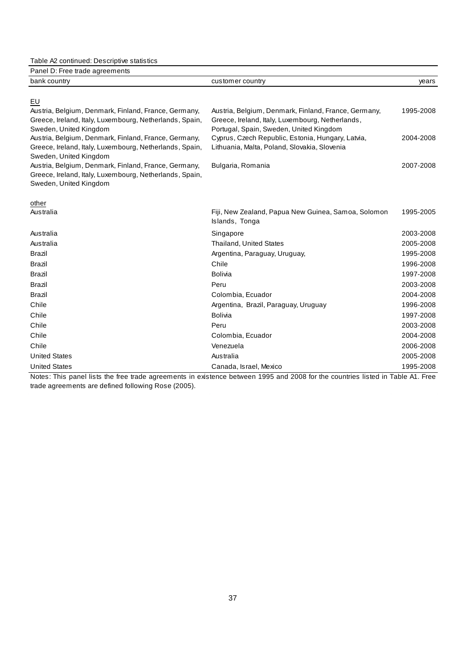Table A2 continued: Descriptive statistics

| Danel D: Free trade agreements |  |
|--------------------------------|--|

| Panel D: Free trade agreements                                                                                  |                                                                                                   |           |
|-----------------------------------------------------------------------------------------------------------------|---------------------------------------------------------------------------------------------------|-----------|
| bank country                                                                                                    | customer country                                                                                  | vears     |
|                                                                                                                 |                                                                                                   |           |
| EU                                                                                                              |                                                                                                   |           |
| Austria, Belgium, Denmark, Finland, France, Germany,                                                            | Austria, Belgium, Denmark, Finland, France, Germany,                                              | 1995-2008 |
| Greece, Ireland, Italy, Luxembourg, Netherlands, Spain,                                                         | Greece, Ireland, Italy, Luxembourg, Netherlands,                                                  |           |
| Sweden, United Kingdom                                                                                          | Portugal, Spain, Sweden, United Kingdom                                                           |           |
| Austria, Belgium, Denmark, Finland, France, Germany,<br>Greece, Ireland, Italy, Luxembourg, Netherlands, Spain, | Cyprus, Czech Republic, Estonia, Hungary, Latvia,<br>Lithuania, Malta, Poland, Slovakia, Slovenia | 2004-2008 |
| Sweden, United Kingdom                                                                                          |                                                                                                   |           |
| Austria, Belgium, Denmark, Finland, France, Germany,                                                            | Bulgaria, Romania                                                                                 | 2007-2008 |
| Greece, Ireland, Italy, Luxembourg, Netherlands, Spain,                                                         |                                                                                                   |           |
| Sweden, United Kingdom                                                                                          |                                                                                                   |           |
|                                                                                                                 |                                                                                                   |           |
| other                                                                                                           |                                                                                                   |           |
| Australia                                                                                                       | Fiji, New Zealand, Papua New Guinea, Samoa, Solomon                                               | 1995-2005 |
|                                                                                                                 | Islands, Tonga                                                                                    |           |
| Australia                                                                                                       | Singapore                                                                                         | 2003-2008 |
| Australia                                                                                                       | Thailand, United States                                                                           | 2005-2008 |
| Brazil                                                                                                          | Argentina, Paraguay, Uruguay,                                                                     | 1995-2008 |
| <b>Brazil</b>                                                                                                   | Chile                                                                                             | 1996-2008 |
| <b>Brazil</b>                                                                                                   | Bolivia                                                                                           | 1997-2008 |
| <b>Brazil</b>                                                                                                   | Peru                                                                                              | 2003-2008 |
| <b>Brazil</b>                                                                                                   | Colombia, Ecuador                                                                                 | 2004-2008 |
| Chile                                                                                                           | Argentina, Brazil, Paraguay, Uruguay                                                              | 1996-2008 |
| Chile                                                                                                           | Bolivia                                                                                           | 1997-2008 |
| Chile                                                                                                           | Peru                                                                                              | 2003-2008 |
| Chile                                                                                                           | Colombia, Ecuador                                                                                 | 2004-2008 |
| Chile                                                                                                           | Venezuela                                                                                         | 2006-2008 |
| <b>United States</b>                                                                                            | Australia                                                                                         | 2005-2008 |
| <b>United States</b>                                                                                            | Canada, Israel, Mexico                                                                            | 1995-2008 |

Notes: This panel lists the free trade agreements in existence between 1995 and 2008 for the countries listed in Table A1. Free trade agreements are defined following Rose (2005).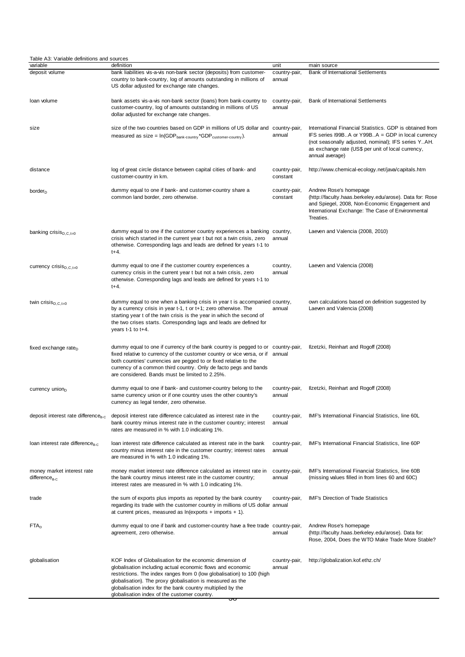| Table A3: Variable definitions and sources         |                                                                                                                                                                                                                                                                                                                                                                                   |                           |                                                                                                                                                                                                                                               |  |  |  |  |  |  |
|----------------------------------------------------|-----------------------------------------------------------------------------------------------------------------------------------------------------------------------------------------------------------------------------------------------------------------------------------------------------------------------------------------------------------------------------------|---------------------------|-----------------------------------------------------------------------------------------------------------------------------------------------------------------------------------------------------------------------------------------------|--|--|--|--|--|--|
| variable                                           | definition                                                                                                                                                                                                                                                                                                                                                                        | unit                      | main source                                                                                                                                                                                                                                   |  |  |  |  |  |  |
| deposit volume                                     | bank liabilities vis-a-vis non-bank sector (deposits) from customer-<br>country to bank-country, log of amounts outstanding in millions of<br>US dollar adjusted for exchange rate changes.                                                                                                                                                                                       | country-pair,<br>annual   | <b>Bank of International Settlements</b>                                                                                                                                                                                                      |  |  |  |  |  |  |
| loan volume                                        | bank assets vis-a-vis non-bank sector (loans) from bank-country to<br>customer-country, log of amounts outstanding in millions of US<br>dollar adjusted for exchange rate changes.                                                                                                                                                                                                | country-pair,<br>annual   | <b>Bank of International Settlements</b>                                                                                                                                                                                                      |  |  |  |  |  |  |
| size                                               | size of the two countries based on GDP in millions of US dollar and country-pair,<br>measured as $size = ln(GDP_{bank-country} * GDP_{customer-country})$ .                                                                                                                                                                                                                       | annual                    | International Financial Statistics. GDP is obtained from<br>IFS series I99BA or Y99BA = GDP in local currency<br>(not seasonally adjusted, nominal); IFS series YAH.<br>as exchange rate (US\$ per unit of local currency,<br>annual average) |  |  |  |  |  |  |
| distance                                           | log of great circle distance between capital cities of bank- and<br>customer-country in km.                                                                                                                                                                                                                                                                                       | country-pair,<br>constant | http://www.chemical-ecology.net/java/capitals.htm                                                                                                                                                                                             |  |  |  |  |  |  |
| border <sub>D</sub>                                | dummy equal to one if bank- and customer-country share a<br>common land border, zero otherwise.                                                                                                                                                                                                                                                                                   | country-pair,<br>constant | Andrew Rose's homepage<br>(http://faculty.haas.berkeley.edu/arose). Data for: Rose<br>and Spiegel, 2008, Non-Economic Engagement and<br>International Exchange: The Case of Environmental<br>Treaties.                                        |  |  |  |  |  |  |
| banking crisis $_{D.C.t=0}$                        | dummy equal to one if the customer country experiences a banking country,<br>crisis which started in the current year t but not a twin crisis, zero<br>otherwise. Corresponding lags and leads are defined for years t-1 to<br>t+4.                                                                                                                                               | annual                    | Laeven and Valencia (2008, 2010)                                                                                                                                                                                                              |  |  |  |  |  |  |
| currency crisis $_{D,C,t=0}$                       | dummy equal to one if the customer country experiences a<br>currency crisis in the current year t but not a twin crisis, zero<br>otherwise. Corresponding lags and leads are defined for years t-1 to<br>t+4.                                                                                                                                                                     | country,<br>annual        | Laeven and Valencia (2008)                                                                                                                                                                                                                    |  |  |  |  |  |  |
| twin $crisisD,C,t=0$                               | dummy equal to one when a banking crisis in year t is accompanied country,<br>by a currency crisis in year t-1, t or t+1; zero otherwise. The<br>starting year t of the twin crisis is the year in which the second of<br>the two crises starts. Corresponding lags and leads are defined for<br>years $t-1$ to $t+4$ .                                                           | annual                    | own calculations based on definition suggested by<br>Laeven and Valencia (2008)                                                                                                                                                               |  |  |  |  |  |  |
| fixed exchange rate <sub>D</sub>                   | dummy equal to one if currency of the bank country is pegged to or country-pair,<br>fixed relative to currency of the customer country or vice versa, or if annual<br>both countries' currencies are pegged to or fixed relative to the<br>currency of a common third country. Only de facto pegs and bands<br>are considered. Bands must be limited to 2.25%.                    |                           | Ilzetzki, Reinhart and Rogoff (2008)                                                                                                                                                                                                          |  |  |  |  |  |  |
| currency union <sub>D</sub>                        | dummy equal to one if bank- and customer-country belong to the<br>same currency union or if one country uses the other country's<br>currency as legal tender, zero otherwise.                                                                                                                                                                                                     | country-pair,<br>annual   | Ilzetzki, Reinhart and Rogoff (2008)                                                                                                                                                                                                          |  |  |  |  |  |  |
| deposit interest rate difference <sub>B-C</sub>    | deposit interest rate difference calculated as interest rate in the<br>bank country minus interest rate in the customer country; interest<br>rates are measured in % with 1.0 indicating 1%.                                                                                                                                                                                      | country-pair,<br>annual   | IMF's International Financial Statistics, line 60L                                                                                                                                                                                            |  |  |  |  |  |  |
| loan interest rate difference $_{B-C}$             | loan interest rate difference calculated as interest rate in the bank<br>country minus interest rate in the customer country; interest rates<br>are measured in % with 1.0 indicating 1%.                                                                                                                                                                                         | country-pair,<br>annual   | IMF's International Financial Statistics, line 60P                                                                                                                                                                                            |  |  |  |  |  |  |
| money market interest rate<br>difference $_{B.C.}$ | money market interest rate difference calculated as interest rate in<br>the bank country minus interest rate in the customer country;<br>interest rates are measured in % with 1.0 indicating 1%.                                                                                                                                                                                 | country-pair,<br>annual   | IMF's International Financial Statistics, line 60B<br>(missing values filled in from lines 60 and 60C)                                                                                                                                        |  |  |  |  |  |  |
| trade                                              | the sum of exports plus imports as reported by the bank country<br>regarding its trade with the customer country in millions of US dollar annual<br>at current prices, measured as $ln(exports + imports + 1)$ .                                                                                                                                                                  | country-pair,             | IMF's Direction of Trade Statistics                                                                                                                                                                                                           |  |  |  |  |  |  |
| FTA <sub>D</sub>                                   | dummy equal to one if bank and customer-country have a free trade country-pair,<br>agreement, zero otherwise.                                                                                                                                                                                                                                                                     | annual                    | Andrew Rose's homepage<br>(http://faculty.haas.berkeley.edu/arose). Data for:<br>Rose, 2004, Does the WTO Make Trade More Stable?                                                                                                             |  |  |  |  |  |  |
| globalisation                                      | KOF Index of Globalisation for the economic dimension of<br>globalisation including actual economic flows and economic<br>restrictions. The index ranges from 0 (low globalisation) to 100 (high<br>globalisation). The proxy globalisation is measured as the<br>globalisation index for the bank country multiplied by the<br>globalisation index of the customer country.<br>ᡂ | country-pair,<br>annual   | http://globalization.kof.ethz.ch/                                                                                                                                                                                                             |  |  |  |  |  |  |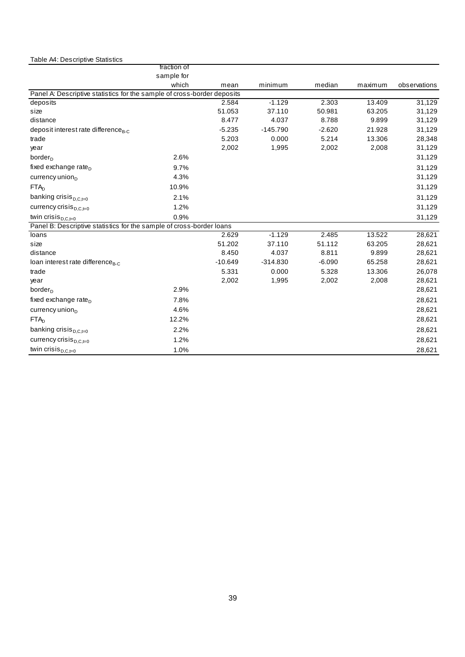### Table A4: Descriptive Statistics

|                                                                         | fraction of |           |            |          |         |              |
|-------------------------------------------------------------------------|-------------|-----------|------------|----------|---------|--------------|
|                                                                         | sample for  |           |            |          |         |              |
|                                                                         | which       | mean      | minimum    | median   | maximum | observations |
| Panel A: Descriptive statistics for the sample of cross-border deposits |             |           |            |          |         |              |
| deposits                                                                |             | 2.584     | $-1.129$   | 2.303    | 13.409  | 31,129       |
| size                                                                    |             | 51.053    | 37.110     | 50.981   | 63.205  | 31,129       |
| distance                                                                |             | 8.477     | 4.037      | 8.788    | 9.899   | 31,129       |
| deposit interest rate difference <sub>B-C</sub>                         |             | $-5.235$  | $-145.790$ | $-2.620$ | 21.928  | 31,129       |
| trade                                                                   |             | 5.203     | 0.000      | 5.214    | 13.306  | 28,348       |
| year                                                                    |             | 2,002     | 1,995      | 2,002    | 2,008   | 31,129       |
| border <sub>D</sub>                                                     | 2.6%        |           |            |          |         | 31,129       |
| fixed exchange rate <sub>D</sub>                                        | 9.7%        |           |            |          |         | 31,129       |
| currency union $D$                                                      | 4.3%        |           |            |          |         | 31,129       |
| FTA <sub>D</sub>                                                        | 10.9%       |           |            |          |         | 31,129       |
| banking crisis $_{D,C,t=0}$                                             | 2.1%        |           |            |          |         | 31,129       |
| currency crisis $_{D,C,t=0}$                                            | 1.2%        |           |            |          |         | 31,129       |
| twin crisis $_{D,C,t=0}$                                                | 0.9%        |           |            |          |         | 31,129       |
| Panel B: Descriptive statistics for the sample of cross-border loans    |             |           |            |          |         |              |
| loans                                                                   |             | 2.629     | $-1.129$   | 2.485    | 13.522  | 28,621       |
| size                                                                    |             | 51.202    | 37.110     | 51.112   | 63.205  | 28,621       |
| distance                                                                |             | 8.450     | 4.037      | 8.811    | 9.899   | 28,621       |
| loan interest rate difference <sub>B-C</sub>                            |             | $-10.649$ | $-314.830$ | $-6.090$ | 65.258  | 28,621       |
| trade                                                                   |             | 5.331     | 0.000      | 5.328    | 13.306  | 26,078       |
| year                                                                    |             | 2,002     | 1,995      | 2,002    | 2,008   | 28,621       |
| border <sub>D</sub>                                                     | 2.9%        |           |            |          |         | 28,621       |
| fixed exchange rate <sub>n</sub>                                        | 7.8%        |           |            |          |         | 28,621       |
| currency union $_{\text{D}}$                                            | 4.6%        |           |            |          |         | 28,621       |
| FTA <sub>D</sub>                                                        | 12.2%       |           |            |          |         | 28,621       |
| banking crisis $_{D,C,t=0}$                                             | 2.2%        |           |            |          |         | 28,621       |
| currency crisis $_{D,C,t=0}$                                            | 1.2%        |           |            |          |         | 28,621       |
| twin $crisis_{D,C,t=0}$                                                 | 1.0%        |           |            |          |         | 28,621       |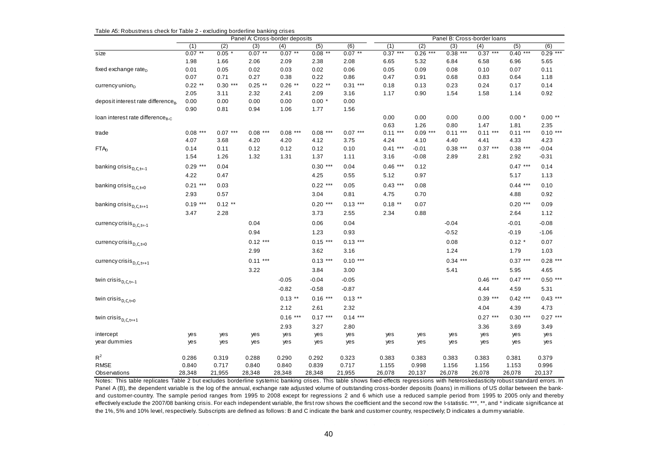|                                               |                   | Panel A: Cross-border deposits |                   |                   |                   |                   | Panel B: Cross-border loans |                   |                   |                   |                   |                   |
|-----------------------------------------------|-------------------|--------------------------------|-------------------|-------------------|-------------------|-------------------|-----------------------------|-------------------|-------------------|-------------------|-------------------|-------------------|
|                                               | (1)               | (2)                            | (3)               | (4)               | (5)               | (6)               | (1)                         | (2)               | (3)               | (4)               | (5)               | (6)               |
| size                                          | $0.07***$         | 0.05                           | $0.07$ **         | $0.07***$         | $0.08$ **         | $0.07$ **         | $0.37***$                   | 0.26<br>$***$     | 0.38<br>$***$     | $0.37***$         | 0.40              | $***$<br>0.29     |
|                                               | 1.98              | 1.66                           | 2.06              | 2.09              | 2.38              | 2.08              | 6.65                        | 5.32              | 6.84              | 6.58              | 6.96              | 5.65              |
| fixed exchange rate $_{D}$                    | 0.01              | 0.05                           | 0.02              | 0.03              | 0.02              | 0.06              | 0.05                        | 0.09              | 0.08              | 0.10              | 0.07              | 0.11              |
|                                               | 0.07              | 0.71                           | 0.27              | 0.38              | 0.22              | 0.86              | 0.47                        | 0.91              | 0.68              | 0.83              | 0.64              | 1.18              |
| currency union <sub>p</sub>                   | $0.22$ **         | $0.30***$                      | $0.25$ **         | $0.26$ **         | $0.22$ **         | $0.31***$         | 0.18                        | 0.13              | 0.23              | 0.24              | 0.17              | 0.14              |
|                                               | 2.05              | 3.11                           | 2.32              | 2.41              | 2.09              | 3.16              | 1.17                        | 0.90              | 1.54              | 1.58              | 1.14              | 0.92              |
| deposit interest rate difference <sub>B</sub> | 0.00              | 0.00                           | 0.00              | 0.00              | $0.00*$           | 0.00              |                             |                   |                   |                   |                   |                   |
|                                               | 0.90              | 0.81                           | 0.94              | 1.06              | 1.77              | 1.56              |                             |                   |                   |                   |                   |                   |
| loan interest rate difference $_{B.C.}$       |                   |                                |                   |                   |                   |                   | 0.00                        | 0.00              | 0.00              | 0.00              | $0.00*$           | $0.00**$          |
|                                               |                   |                                |                   |                   |                   |                   | 0.63                        | 1.26              | 0.80              | 1.47              | 1.81              | 2.35              |
| trade                                         | $0.08***$<br>4.07 | $0.07***$<br>3.68              | $0.08***$<br>4.20 | $0.08***$<br>4.20 | $0.08***$<br>4.12 | $0.07***$<br>3.75 | $0.11***$<br>4.24           | $0.09***$<br>4.10 | $0.11***$<br>4.40 | $0.11***$<br>4.41 | $0.11***$<br>4.33 | $0.10***$<br>4.23 |
| FTA <sub>D</sub>                              | 0.14              | 0.11                           | 0.12              | 0.12              | 0.12              | 0.10              | $0.41***$                   | $-0.01$           | $0.38***$         | $0.37***$         | $0.38***$         | $-0.04$           |
|                                               | 1.54              | 1.26                           | 1.32              | 1.31              | 1.37              | 1.11              | 3.16                        | $-0.08$           | 2.89              | 2.81              | 2.92              | $-0.31$           |
| banking crisis $_{D,C,t=-1}$                  | $0.29$ ***        | 0.04                           |                   |                   | $0.30***$         | 0.04              | $0.46$ ***                  | 0.12              |                   |                   | $0.47***$         | 0.14              |
|                                               | 4.22              | 0.47                           |                   |                   | 4.25              | 0.55              | 5.12                        | 0.97              |                   |                   | 5.17              | 1.13              |
| banking crisis <sub>D,C,t=0</sub>             | $0.21***$         | 0.03                           |                   |                   | $0.22$ ***        | 0.05              | $0.43$ ***                  | 0.08              |                   |                   | $0.44***$         | 0.10              |
|                                               | 2.93              | 0.57                           |                   |                   | 3.04              | 0.81              | 4.75                        | 0.70              |                   |                   | 4.88              | 0.92              |
| banking crisis $_{D,C,t=+1}$                  | $0.19***$         | $0.12**$                       |                   |                   | $0.20***$         | $0.13***$         | $0.18**$                    | 0.07              |                   |                   | $0.20***$         | 0.09              |
|                                               | 3.47              | 2.28                           |                   |                   | 3.73              | 2.55              | 2.34                        | 0.88              |                   |                   | 2.64              | 1.12              |
| currency crisis $_{D,C,t=-1}$                 |                   |                                | 0.04              |                   | 0.06              | 0.04              |                             |                   | $-0.04$           |                   | $-0.01$           | $-0.08$           |
|                                               |                   |                                | 0.94              |                   | 1.23              | 0.93              |                             |                   | $-0.52$           |                   | $-0.19$           | $-1.06$           |
| currency crisis $_{D,C,t=0}$                  |                   |                                | $0.12***$         |                   | $0.15***$         | $0.13***$         |                             |                   | 0.08              |                   | $0.12 *$          | 0.07              |
|                                               |                   |                                | 2.99              |                   | 3.62              | 3.16              |                             |                   | 1.24              |                   | 1.79              | 1.03              |
| currency crisis $_{D,C,t=+1}$                 |                   |                                | $0.11***$         |                   | $0.13***$         | $0.10***$         |                             |                   | $0.34***$         |                   | $0.37***$         | $0.28***$         |
|                                               |                   |                                | 3.22              |                   | 3.84              | 3.00              |                             |                   | 5.41              |                   | 5.95              | 4.65              |
| twin crisis $_{D,C,t=-1}$                     |                   |                                |                   | $-0.05$           | $-0.04$           | $-0.05$           |                             |                   |                   | $0.46$ ***        | $0.47***$         | $0.50***$         |
|                                               |                   |                                |                   | $-0.82$           | $-0.58$           | $-0.87$           |                             |                   |                   | 4.44              | 4.59              | 5.31              |
| twin crisis $_{D,C,t=0}$                      |                   |                                |                   | $0.13$ **         | $0.16***$         | $0.13$ **         |                             |                   |                   | $0.39***$         | $0.42***$         | $0.43$ ***        |
|                                               |                   |                                |                   | 2.12              | 2.61              | 2.32              |                             |                   |                   | 4.04              | 4.39              | 4.73              |
| twin crisis $_{D,C,t=+1}$                     |                   |                                |                   | $0.16***$         | $0.17***$         | $0.14***$         |                             |                   |                   | $0.27***$         | $0.30***$         | $0.27***$         |
|                                               |                   |                                |                   | 2.93              | 3.27              | 2.80              |                             |                   |                   | 3.36              | 3.69              | 3.49              |
| intercept                                     | yes               | yes                            | yes               | yes               | yes               | yes               | yes                         | yes               | yes               | yes               | yes               | yes               |
| year dummies                                  | yes               | yes                            | yes               | yes               | yes               | yes               | yes                         | yes               | yes               | yes               | yes               | yes               |
| $\mathsf{R}^2$                                | 0.286             | 0.319                          | 0.288             | 0.290             | 0.292             | 0.323             | 0.383                       | 0.383             | 0.383             | 0.383             | 0.381             | 0.379             |
| <b>RMSE</b>                                   | 0.840             | 0.717                          | 0.840             | 0.840             | 0.839             | 0.717             | 1.155                       | 0.998             | 1.156             | 1.156             | 1.153             | 0.996             |
| Observations                                  | 28,348            | 21,955                         | 28,348            | 28,348            | 28,348            | 21,955            | 26,078                      | 20,137            | 26,078            | 26,078            | 26,078            | 20,137            |

Table A5: Robustness check for Table 2 - excluding borderline banking crises

 Notes: This table replicates Table <sup>2</sup> but excludes borderline systemic banking crises. This table shows fixed-effects regressions with heteroskedasticity robust standard errors. In Panel A (B), the dependent variable is the log of the annual, exchange rate adjusted volume of outstanding cross-border deposits (loans) in millions of US dollar between the bankand customer-country. The sample period ranges from 1995 to <sup>2008</sup> except for regressions <sup>2</sup> and <sup>6</sup> which use <sup>a</sup> reduced sample period from <sup>1995</sup> to <sup>2005</sup> only and thereby effectively exclude the 2007/08 banking crisis. For each independent variable, the first row shows the coefficient and the second row the t-statistic. \*\*\*, \*\*, and \* indicate significance at the 1%, 5% and 10% level, respectively. Subscripts are defined as follows: B and C indicate the bank and customer country, respectively; D indicates a dummy variable.